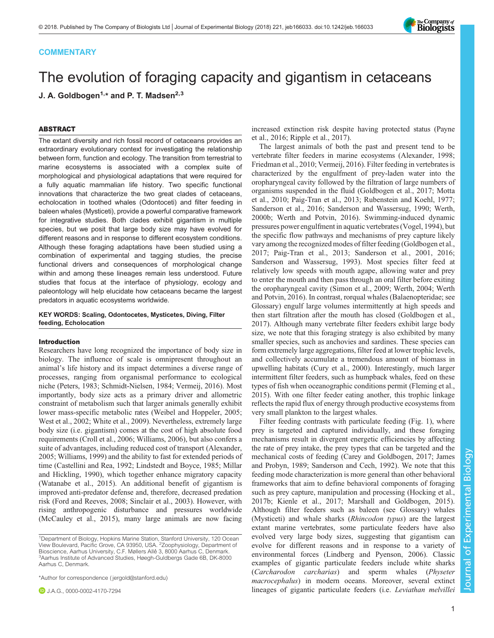# **COMMENTARY**

# The evolution of foraging capacity and gigantism in cetaceans J. A. Goldbogen<sup>1,\*</sup> and P. T. Madsen<sup>2,3</sup>

# ABSTRACT

The extant diversity and rich fossil record of cetaceans provides an extraordinary evolutionary context for investigating the relationship between form, function and ecology. The transition from terrestrial to marine ecosystems is associated with a complex suite of morphological and physiological adaptations that were required for a fully aquatic mammalian life history. Two specific functional innovations that characterize the two great clades of cetaceans, echolocation in toothed whales (Odontoceti) and filter feeding in baleen whales (Mysticeti), provide a powerful comparative framework for integrative studies. Both clades exhibit gigantism in multiple species, but we posit that large body size may have evolved for different reasons and in response to different ecosystem conditions. Although these foraging adaptations have been studied using a combination of experimental and tagging studies, the precise functional drivers and consequences of morphological change within and among these lineages remain less understood. Future studies that focus at the interface of physiology, ecology and paleontology will help elucidate how cetaceans became the largest predators in aquatic ecosystems worldwide.

# KEY WORDS: Scaling, Odontocetes, Mysticetes, Diving, Filter feeding, Echolocation

#### Introduction

Researchers have long recognized the importance of body size in biology. The influence of scale is omnipresent throughout an animal's life history and its impact determines a diverse range of processes, ranging from organismal performance to ecological niche [\(Peters, 1983; Schmidt-Nielsen, 1984](#page-7-0); [Vermeij, 2016\)](#page-7-0). Most importantly, body size acts as a primary driver and allometric constraint of metabolism such that larger animals generally exhibit lower mass-specific metabolic rates ([Weibel and Hoppeler, 2005](#page-7-0); [West et al., 2002](#page-7-0); [White et al., 2009\)](#page-7-0). Nevertheless, extremely large body size (i.e. gigantism) comes at the cost of high absolute food requirements ([Croll et al., 2006;](#page-5-0) [Williams, 2006](#page-8-0)), but also confers a suite of advantages, including reduced cost of transport ([Alexander,](#page-5-0) [2005](#page-5-0); [Williams, 1999](#page-8-0)) and the ability to fast for extended periods of time [\(Castellini and Rea, 1992;](#page-5-0) [Lindstedt and Boyce, 1985](#page-6-0); [Millar](#page-6-0) [and Hickling, 1990\)](#page-6-0), which together enhance migratory capacity [\(Watanabe et al., 2015\)](#page-7-0). An additional benefit of gigantism is improved anti-predator defense and, therefore, decreased predation risk ([Ford and Reeves, 2008;](#page-5-0) [Sinclair et al., 2003\)](#page-7-0). However, with rising anthropogenic disturbance and pressures worldwide [\(McCauley et al., 2015](#page-6-0)), many large animals are now facing

\*Author for correspondence [\( jergold@stanford.edu\)](mailto:jergold@stanford.edu)

**D** J.A.G., [0000-0002-4170-7294](http://orcid.org/0000-0002-4170-7294)

increased extinction risk despite having protected status [\(Payne](#page-7-0) [et al., 2016; Ripple et al., 2017](#page-7-0)).

The largest animals of both the past and present tend to be vertebrate filter feeders in marine ecosystems ([Alexander, 1998](#page-5-0); [Friedman et al., 2010](#page-5-0); [Vermeij, 2016\)](#page-7-0). Filter feeding in vertebrates is characterized by the engulfment of prey-laden water into the oropharyngeal cavity followed by the filtration of large numbers of organisms suspended in the fluid [\(Goldbogen et al., 2017; Motta](#page-6-0) [et al., 2010;](#page-6-0) [Paig-Tran et al., 2013](#page-7-0); [Rubenstein and Koehl, 1977](#page-7-0); [Sanderson et al., 2016; Sanderson and Wassersug, 1990](#page-7-0); [Werth,](#page-7-0) [2000b; Werth and Potvin, 2016](#page-7-0)). Swimming-induced dynamic pressures power engulfment in aquatic vertebrates [\(Vogel, 1994\)](#page-7-0), but the specific flow pathways and mechanisms of prey capture likely vary among the recognized modes of filter feeding ([Goldbogen et al.,](#page-6-0) [2017;](#page-6-0) [Paig-Tran et al., 2013](#page-7-0); [Sanderson et al., 2001](#page-7-0), [2016](#page-7-0); [Sanderson and Wassersug, 1993\)](#page-7-0). Most species filter feed at relatively low speeds with mouth agape, allowing water and prey to enter the mouth and then pass through an oral filter before exiting the oropharyngeal cavity [\(Simon et al., 2009; Werth, 2004](#page-7-0); [Werth](#page-7-0) [and Potvin, 2016](#page-7-0)). In contrast, rorqual whales (Balaenopteridae; see Glossary) engulf large volumes intermittently at high speeds and then start filtration after the mouth has closed ([Goldbogen et al.,](#page-6-0) [2017\)](#page-6-0). Although many vertebrate filter feeders exhibit large body size, we note that this foraging strategy is also exhibited by many smaller species, such as anchovies and sardines. These species can form extremely large aggregations, filter feed at lower trophic levels, and collectively accumulate a tremendous amount of biomass in upwelling habitats ([Cury et al., 2000\)](#page-5-0). Interestingly, much larger intermittent filter feeders, such as humpback whales, feed on these types of fish when oceanographic conditions permit [\(Fleming et al.,](#page-5-0) [2015\)](#page-5-0). With one filter feeder eating another, this trophic linkage reflects the rapid flux of energy through productive ecosystems from very small plankton to the largest whales.

Filter feeding contrasts with particulate feeding ([Fig. 1\)](#page-2-0), where prey is targeted and captured individually, and these foraging mechanisms result in divergent energetic efficiencies by affecting the rate of prey intake, the prey types that can be targeted and the mechanical costs of feeding ([Carey and Goldbogen, 2017](#page-5-0); [James](#page-6-0) [and Probyn, 1989;](#page-6-0) [Sanderson and Cech, 1992](#page-7-0)). We note that this feeding mode characterization is more general than other behavioral frameworks that aim to define behavioral components of foraging such as prey capture, manipulation and processing ([Hocking et al.,](#page-6-0) [2017b; Kienle et al., 2017; Marshall and Goldbogen, 2015\)](#page-6-0). Although filter feeders such as baleen (see Glossary) whales (Mysticeti) and whale sharks (Rhincodon typus) are the largest extant marine vertebrates, some particulate feeders have also evolved very large body sizes, suggesting that gigantism can evolve for different reasons and in response to a variety of environmental forces ([Lindberg and Pyenson, 2006](#page-6-0)). Classic examples of gigantic particulate feeders include white sharks (Carcharodon carcharias) and sperm whales (Physeter macrocephalus) in modern oceans. Moreover, several extinct lineages of gigantic particulate feeders (i.e. Leviathan melvillei



<sup>&</sup>lt;sup>1</sup>Department of Biology, Hopkins Marine Station, Stanford University, 120 Ocean View Boulevard, Pacific Grove, CA 93950, USA. <sup>2</sup>Zoophysiology, Department of <sup>3</sup>Aarhus Institute of Advanced Studies, Høegh-Guldbergs Gade 6B, DK-8000 Aarhus C, Denmark.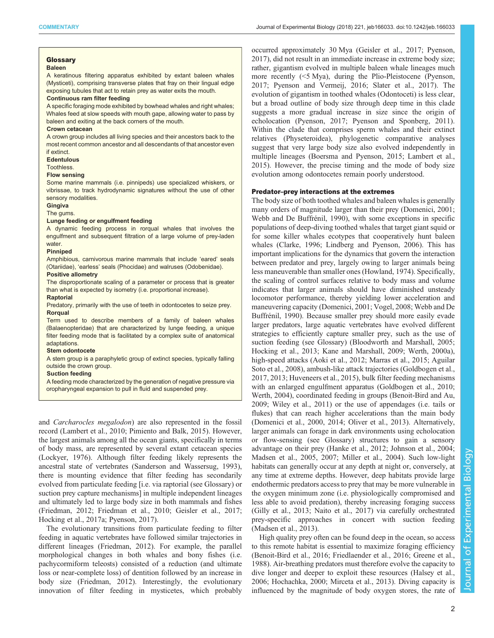# **Glossary**

# Baleen

A keratinous filtering apparatus exhibited by extant baleen whales (Mysticeti), comprising transverse plates that fray on their lingual edge exposing tubules that act to retain prey as water exits the mouth.

#### Continuous ram filter feeding

A specific foraging mode exhibited by bowhead whales and right whales; Whales feed at slow speeds with mouth gape, allowing water to pass by baleen and exiting at the back corners of the mouth.

#### Crown cetacean

A crown group includes all living species and their ancestors back to the most recent common ancestor and all descendants of that ancestor even if extinct.

**Edentulous Toothless** 

Flow sensing

Some marine mammals (i.e. pinnipeds) use specialized whiskers, or vibrissae, to track hydrodynamic signatures without the use of other sensory modalities.

#### **Gingiva**

The gums.

#### Lunge feeding or engulfment feeding

A dynamic feeding process in rorqual whales that involves the engulfment and subsequent filtration of a large volume of prey-laden water.

#### Pinniped

Amphibious, carnivorous marine mammals that include 'eared' seals (Otariidae), 'earless' seals (Phocidae) and walruses (Odobenidae).

#### Positive allometry

The disproportionate scaling of a parameter or process that is greater than what is expected by isometry (i.e. proportional increase).

#### Raptorial

Predatory, primarily with the use of teeth in odontocetes to seize prey. Rorqual

Term used to describe members of a family of baleen whales (Balaenopteridae) that are characterized by lunge feeding, a unique filter feeding mode that is facilitated by a complex suite of anatomical adaptations.

#### Stem odontocete

A stem group is a paraphyletic group of extinct species, typically falling outside the crown group.

#### Suction feeding

A feeding mode characterized by the generation of negative pressure via oropharyngeal expansion to pull in fluid and suspended prey.

and Carcharocles megalodon) are also represented in the fossil record ([Lambert et al., 2010;](#page-6-0) [Pimiento and Balk, 2015](#page-7-0)). However, the largest animals among all the ocean giants, specifically in terms of body mass, are represented by several extant cetacean species [\(Lockyer, 1976](#page-6-0)). Although filter feeding likely represents the ancestral state of vertebrates ([Sanderson and Wassersug, 1993\)](#page-7-0), there is mounting evidence that filter feeding has secondarily evolved from particulate feeding [i.e. via raptorial (see Glossary) or suction prey capture mechanisms] in multiple independent lineages and ultimately led to large body size in both mammals and fishes [\(Friedman, 2012; Friedman et al., 2010](#page-5-0); [Geisler et al., 2017](#page-5-0); [Hocking et al., 2017a;](#page-6-0) [Pyenson, 2017](#page-7-0)).

The evolutionary transitions from particulate feeding to filter feeding in aquatic vertebrates have followed similar trajectories in different lineages [\(Friedman, 2012](#page-5-0)). For example, the parallel morphological changes in both whales and bony fishes (i.e. pachycormiform teleosts) consisted of a reduction (and ultimate loss or near-complete loss) of dentition followed by an increase in body size [\(Friedman, 2012](#page-5-0)). Interestingly, the evolutionary innovation of filter feeding in mysticetes, which probably

occurred approximately 30 Mya ([Geisler et al., 2017;](#page-5-0) [Pyenson,](#page-7-0) [2017\)](#page-7-0), did not result in an immediate increase in extreme body size; rather, gigantism evolved in multiple baleen whale lineages much more recently (<5 Mya), during the Plio-Pleistocene ([Pyenson,](#page-7-0) [2017; Pyenson and Vermeij, 2016](#page-7-0); [Slater et al., 2017](#page-7-0)). The evolution of gigantism in toothed whales (Odontoceti) is less clear, but a broad outline of body size through deep time in this clade suggests a more gradual increase in size since the origin of echolocation [\(Pyenson, 2017](#page-7-0); [Pyenson and Sponberg, 2011\)](#page-7-0). Within the clade that comprises sperm whales and their extinct relatives (Physeteroidea), phylogenetic comparative analyses suggest that very large body size also evolved independently in multiple lineages ([Boersma and Pyenson, 2015;](#page-5-0) [Lambert et al.,](#page-6-0) [2015\)](#page-6-0). However, the precise timing and the mode of body size evolution among odontocetes remain poorly understood.

#### Predator–prey interactions at the extremes

The body size of both toothed whales and baleen whales is generally many orders of magnitude larger than their prey [\(Domenici, 2001](#page-5-0); [Webb and De Buffrénil, 1990](#page-7-0)), with some exceptions in specific populations of deep-diving toothed whales that target giant squid or for some killer whales ecotypes that cooperatively hunt baleen whales ([Clarke, 1996;](#page-5-0) [Lindberg and Pyenson, 2006\)](#page-6-0). This has important implications for the dynamics that govern the interaction between predator and prey, largely owing to larger animals being less maneuverable than smaller ones ([Howland, 1974\)](#page-6-0). Specifically, the scaling of control surfaces relative to body mass and volume indicates that larger animals should have diminished unsteady locomotor performance, thereby yielding lower acceleration and maneuvering capacity ([Domenici, 2001;](#page-5-0) [Vogel, 2008](#page-7-0); [Webb and De](#page-7-0) [Buffrénil, 1990](#page-7-0)). Because smaller prey should more easily evade larger predators, large aquatic vertebrates have evolved different strategies to efficiently capture smaller prey, such as the use of suction feeding (see Glossary) ([Bloodworth and Marshall, 2005](#page-5-0); [Hocking et al., 2013](#page-6-0); [Kane and Marshall, 2009;](#page-6-0) [Werth, 2000a\)](#page-7-0), high-speed attacks ([Aoki et al., 2012](#page-5-0); [Marras et al., 2015;](#page-6-0) [Aguilar](#page-5-0) [Soto et al., 2008\)](#page-5-0), ambush-like attack trajectories [\(Goldbogen et al.,](#page-6-0) [2017, 2013](#page-6-0); [Huveneers et al., 2015\)](#page-6-0), bulk filter feeding mechanisms with an enlarged engulfment apparatus ([Goldbogen et al., 2010](#page-5-0); [Werth, 2004](#page-7-0)), coordinated feeding in groups [\(Benoit-Bird and Au,](#page-5-0) [2009;](#page-5-0) [Wiley et al., 2011\)](#page-8-0) or the use of appendages (i.e. tails or flukes) that can reach higher accelerations than the main body [\(Domenici et al., 2000](#page-5-0), [2014;](#page-5-0) [Oliver et al., 2013\)](#page-7-0). Alternatively, larger animals can forage in dark environments using echolocation or flow-sensing (see Glossary) structures to gain a sensory advantage on their prey [\(Hanke et al., 2012; Johnson et al., 2004](#page-6-0); [Madsen et al., 2005, 2007](#page-6-0); [Miller et al., 2004\)](#page-6-0). Such low-light habitats can generally occur at any depth at night or, conversely, at any time at extreme depths. However, deep habitats provide large endothermic predators access to prey that may be more vulnerable in the oxygen minimum zone (i.e. physiologically compromised and less able to avoid predation), thereby increasing foraging success [\(Gilly et al., 2013](#page-5-0); [Naito et al., 2017\)](#page-6-0) via carefully orchestrated prey-specific approaches in concert with suction feeding [\(Madsen et al., 2013](#page-6-0)).

High quality prey often can be found deep in the ocean, so access to this remote habitat is essential to maximize foraging efficiency [\(Benoit-Bird et al., 2016; Friedlaender et al., 2016;](#page-5-0) [Greene et al.,](#page-6-0) [1988\)](#page-6-0). Air-breathing predators must therefore evolve the capacity to dive longer and deeper to exploit these resources [\(Halsey et al.,](#page-6-0) [2006; Hochachka, 2000; Mirceta et al., 2013](#page-6-0)). Diving capacity is influenced by the magnitude of body oxygen stores, the rate of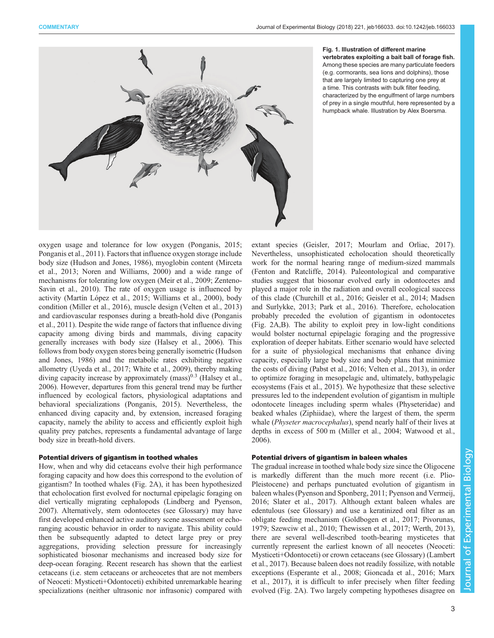<span id="page-2-0"></span>

Fig. 1. Illustration of different marine vertebrates exploiting a bait ball of forage fish. Among these species are many particulate feeders (e.g. cormorants, sea lions and dolphins), those that are largely limited to capturing one prey at a time. This contrasts with bulk filter feeding, characterized by the engulfment of large numbers of prey in a single mouthful, here represented by a humpback whale. Illustration by Alex Boersma.

oxygen usage and tolerance for low oxygen [\(Ponganis, 2015](#page-7-0); [Ponganis et al., 2011](#page-7-0)). Factors that influence oxygen storage include body size [\(Hudson and Jones, 1986\)](#page-6-0), myoglobin content [\(Mirceta](#page-6-0) [et al., 2013;](#page-6-0) [Noren and Williams, 2000\)](#page-7-0) and a wide range of mechanisms for tolerating low oxygen [\(Meir et al., 2009;](#page-6-0) [Zenteno-](#page-8-0)[Savin et al., 2010](#page-8-0)). The rate of oxygen usage is influenced by activity ([Martín López et al., 2015](#page-6-0); [Williams et al., 2000\)](#page-8-0), body condition ([Miller et al., 2016](#page-6-0)), muscle design [\(Velten et al., 2013\)](#page-7-0) and cardiovascular responses during a breath-hold dive [\(Ponganis](#page-7-0) [et al., 2011\)](#page-7-0). Despite the wide range of factors that influence diving capacity among diving birds and mammals, diving capacity generally increases with body size ([Halsey et al., 2006\)](#page-6-0). This follows from body oxygen stores being generally isometric [\(Hudson](#page-6-0) [and Jones, 1986\)](#page-6-0) and the metabolic rates exhibiting negative allometry ([Uyeda et al., 2017](#page-7-0); [White et al., 2009\)](#page-7-0), thereby making diving capacity increase by approximately  $(mass)^{0.3}$  ([Halsey et al.,](#page-6-0) [2006](#page-6-0)). However, departures from this general trend may be further influenced by ecological factors, physiological adaptations and behavioral specializations ([Ponganis, 2015\)](#page-7-0). Nevertheless, the enhanced diving capacity and, by extension, increased foraging capacity, namely the ability to access and efficiently exploit high quality prey patches, represents a fundamental advantage of large body size in breath-hold divers.

# Potential drivers of gigantism in toothed whales

How, when and why did cetaceans evolve their high performance foraging capacity and how does this correspond to the evolution of gigantism? In toothed whales [\(Fig. 2A](#page-3-0)), it has been hypothesized that echolocation first evolved for nocturnal epipelagic foraging on diel vertically migrating cephalopods [\(Lindberg and Pyenson,](#page-6-0) [2007](#page-6-0)). Alternatively, stem odontocetes (see Glossary) may have first developed enhanced active auditory scene assessment or echoranging acoustic behavior in order to navigate. This ability could then be subsequently adapted to detect large prey or prey aggregations, providing selection pressure for increasingly sophisticated biosonar mechanisms and increased body size for deep-ocean foraging. Recent research has shown that the earliest cetaceans (i.e. stem cetaceans or archeocetes that are not members of Neoceti: Mysticeti+Odontoceti) exhibited unremarkable hearing specializations (neither ultrasonic nor infrasonic) compared with

extant species [\(Geisler, 2017;](#page-5-0) [Mourlam and Orliac, 2017\)](#page-6-0). Nevertheless, unsophisticated echolocation should theoretically work for the normal hearing range of medium-sized mammals [\(Fenton and Ratcliffe, 2014\)](#page-5-0). Paleontological and comparative studies suggest that biosonar evolved early in odontocetes and played a major role in the radiation and overall ecological success of this clade [\(Churchill et al., 2016](#page-5-0); [Geisler et al., 2014](#page-5-0); [Madsen](#page-6-0) [and Surlykke, 2013](#page-6-0); [Park et al., 2016](#page-7-0)). Therefore, echolocation probably preceded the evolution of gigantism in odontocetes [\(Fig. 2](#page-3-0)A,B). The ability to exploit prey in low-light conditions would bolster nocturnal epipelagic foraging and the progressive exploration of deeper habitats. Either scenario would have selected for a suite of physiological mechanisms that enhance diving capacity, especially large body size and body plans that minimize the costs of diving [\(Pabst et al., 2016; Velten et al., 2013](#page-7-0)), in order to optimize foraging in mesopelagic and, ultimately, bathypelagic ecosystems [\(Fais et al., 2015](#page-5-0)). We hypothesize that these selective pressures led to the independent evolution of gigantism in multiple odontocete lineages including sperm whales (Physeteridae) and beaked whales (Ziphiidae), where the largest of them, the sperm whale (Physeter macrocephalus), spend nearly half of their lives at depths in excess of 500 m ([Miller et al., 2004](#page-6-0); [Watwood et al.,](#page-7-0) [2006\)](#page-7-0).

# Potential drivers of gigantism in baleen whales

The gradual increase in toothed whale body size since the Oligocene is markedly different than the much more recent (i.e. Plio-Pleistocene) and perhaps punctuated evolution of gigantism in baleen whales [\(Pyenson and Sponberg, 2011; Pyenson and Vermeij,](#page-7-0) [2016; Slater et al., 2017\)](#page-7-0). Although extant baleen whales are edentulous (see Glossary) and use a keratinized oral filter as an obligate feeding mechanism [\(Goldbogen et al., 2017;](#page-6-0) [Pivorunas,](#page-7-0) [1979; Szewciw et al., 2010](#page-7-0); [Thewissen et al., 2017](#page-7-0); [Werth, 2013\)](#page-7-0), there are several well-described tooth-bearing mysticetes that currently represent the earliest known of all neocetes (Neoceti: Mysticeti+Odontoceti) or crown cetaceans (see Glossary) [\(Lambert](#page-6-0) [et al., 2017](#page-6-0)). Because baleen does not readily fossilize, with notable exceptions [\(Esperante et al., 2008](#page-5-0); [Gioncada et al., 2016](#page-5-0); [Marx](#page-6-0) [et al., 2017\)](#page-6-0), it is difficult to infer precisely when filter feeding evolved [\(Fig. 2A](#page-3-0)). Two largely competing hypotheses disagree on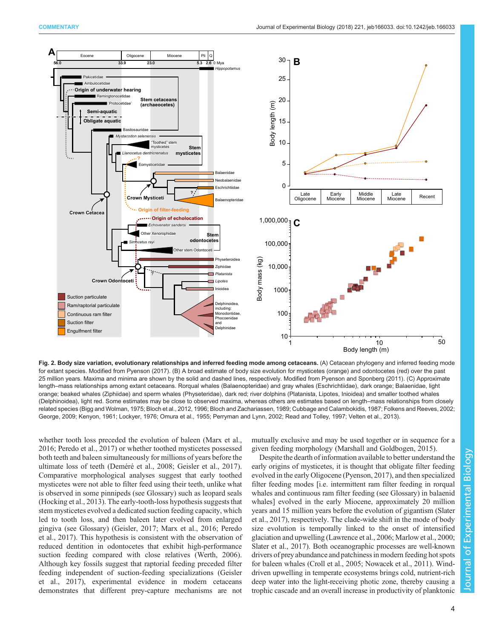<span id="page-3-0"></span>

Fig. 2. Body size variation, evolutionary relationships and inferred feeding mode among cetaceans. (A) Cetacean phylogeny and inferred feeding mode for extant species. Modified from [Pyenson \(2017\).](#page-7-0) (B) A broad estimate of body size evolution for mysticetes (orange) and odontocetes (red) over the past 25 million years. Maxima and minima are shown by the solid and dashed lines, respectively. Modified from [Pyenson and Sponberg \(2011\)](#page-7-0). (C) Approximate length–mass relationships among extant cetaceans. Rorqual whales (Balaenopteridae) and gray whales (Eschrichtiidae), dark orange; Balaenidae, light orange; beaked whales (Ziphiidae) and sperm whales (Physeteridae), dark red; river dolphins (Platanista, Lipotes, Inioidea) and smaller toothed whales (Delphinoidea), light red. Some estimates may be close to observed maxima, whereas others are estimates based on length–mass relationships from closely related species ([Bigg and Wolman, 1975; Bloch et al., 2012, 1996; Bloch and Zachariassen, 1989; Cubbage and Calambokidis, 1987](#page-5-0); [Folkens and Reeves, 2002;](#page-5-0) [George, 2009](#page-5-0); [Kenyon, 1961; Lockyer, 1976](#page-6-0); [Omura et al., 1955; Perryman and Lynn, 2002; Read and Tolley, 1997](#page-7-0); [Velten et al., 2013](#page-7-0)).

whether tooth loss preceded the evolution of baleen ([Marx et al.,](#page-6-0) [2016](#page-6-0); [Peredo et al., 2017](#page-7-0)) or whether toothed mysticetes possessed both teeth and baleen simultaneously for millions of years before the ultimate loss of teeth [\(Deméré et al., 2008; Geisler et al., 2017\)](#page-5-0). Comparative morphological analyses suggest that early toothed mysticetes were not able to filter feed using their teeth, unlike what is observed in some pinnipeds (see Glossary) such as leopard seals [\(Hocking et al., 2013](#page-6-0)). The early-tooth-loss hypothesis suggests that stem mysticetes evolved a dedicated suction feeding capacity, which led to tooth loss, and then baleen later evolved from enlarged gingiva (see Glossary) ([Geisler, 2017;](#page-5-0) [Marx et al., 2016](#page-6-0); [Peredo](#page-7-0) [et al., 2017\)](#page-7-0). This hypothesis is consistent with the observation of reduced dentition in odontocetes that exhibit high-performance suction feeding compared with close relatives [\(Werth, 2006\)](#page-7-0). Although key fossils suggest that raptorial feeding preceded filter feeding independent of suction-feeding specializations ([Geisler](#page-5-0) [et al., 2017\)](#page-5-0), experimental evidence in modern cetaceans demonstrates that different prey-capture mechanisms are not mutually exclusive and may be used together or in sequence for a given feeding morphology [\(Marshall and Goldbogen, 2015\)](#page-6-0).

Despite the dearth of information available to better understand the early origins of mysticetes, it is thought that obligate filter feeding evolved in the early Oligocene [\(Pyenson, 2017\)](#page-7-0), and then specialized filter feeding modes [i.e. intermittent ram filter feeding in rorqual whales and continuous ram filter feeding (see Glossary) in balaenid whales] evolved in the early Miocene, approximately 20 million years and 15 million years before the evolution of gigantism ([Slater](#page-7-0) [et al., 2017](#page-7-0)), respectively. The clade-wide shift in the mode of body size evolution is temporally linked to the onset of intensified glaciation and upwelling [\(Lawrence et al., 2006; Marlow et al., 2000](#page-6-0); [Slater et al., 2017\)](#page-7-0). Both oceanographic processes are well-known drivers of prey abundance and patchiness in modern feeding hot spots for baleen whales [\(Croll et al., 2005;](#page-5-0) [Nowacek et al., 2011](#page-7-0)). Winddriven upwelling in temperate ecosystems brings cold, nutrient-rich deep water into the light-receiving photic zone, thereby causing a trophic cascade and an overall increase in productivity of planktonic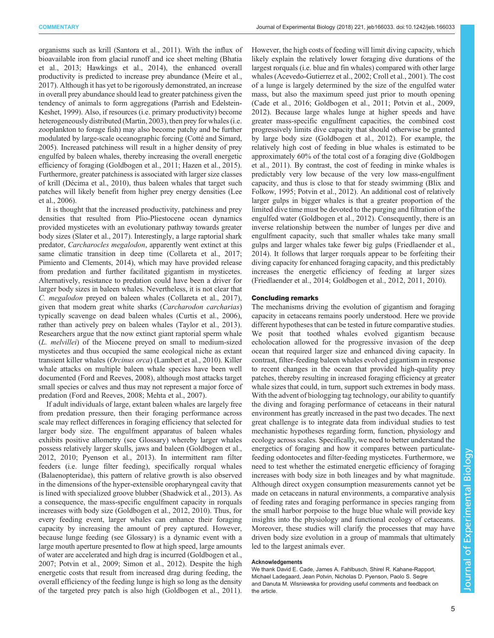organisms such as krill [\(Santora et al., 2011](#page-7-0)). With the influx of bioavailable iron from glacial runoff and ice sheet melting ([Bhatia](#page-5-0) [et al., 2013](#page-5-0); [Hawkings et al., 2014](#page-6-0)), the enhanced overall productivity is predicted to increase prey abundance [\(Meire et al.,](#page-6-0) [2017\)](#page-6-0). Although it has yet to be rigorously demonstrated, an increase in overall prey abundance should lead to greater patchiness given the tendency of animals to form aggregations ([Parrish and Edelstein-](#page-7-0)[Keshet, 1999](#page-7-0)). Also, if resources (i.e. primary productivity) become heterogeneously distributed ([Martin, 2003](#page-6-0)), then prey for whales (i.e. zooplankton to forage fish) may also become patchy and be further modulated by large-scale oceanographic forcing [\(Cotté and Simard,](#page-5-0) [2005\)](#page-5-0). Increased patchiness will result in a higher density of prey engulfed by baleen whales, thereby increasing the overall energetic efficiency of foraging ([Goldbogen et al., 2011](#page-6-0); [Hazen et al., 2015\)](#page-6-0). Furthermore, greater patchiness is associated with larger size classes of krill ([Décima et al., 2010\)](#page-5-0), thus baleen whales that target such patches will likely benefit from higher prey energy densities [\(Lee](#page-6-0) [et al., 2006\)](#page-6-0).

It is thought that the increased productivity, patchiness and prey densities that resulted from Plio-Pliestocene ocean dynamics provided mysticetes with an evolutionary pathway towards greater body sizes ([Slater et al., 2017\)](#page-7-0). Interestingly, a large raptorial shark predator, Carcharocles megalodon, apparently went extinct at this same climatic transition in deep time ([Collareta et al., 2017](#page-5-0); [Pimiento and Clements, 2014\)](#page-7-0), which may have provided release from predation and further facilitated gigantism in mysticetes. Alternatively, resistance to predation could have been a driver for larger body sizes in baleen whales. Nevertheless, it is not clear that C. megalodon preyed on baleen whales [\(Collareta et al., 2017\)](#page-5-0), given that modern great white sharks (Carcharodon carcharias) typically scavenge on dead baleen whales ([Curtis et al., 2006\)](#page-5-0), rather than actively prey on baleen whales [\(Taylor et al., 2013\)](#page-7-0). Researchers argue that the now extinct giant raptorial sperm whale (L. melvillei) of the Miocene preyed on small to medium-sized mysticetes and thus occupied the same ecological niche as extant transient killer whales (Orcinus orca) [\(Lambert et al., 2010](#page-6-0)). Killer whale attacks on multiple baleen whale species have been well documented ([Ford and Reeves, 2008\)](#page-5-0), although most attacks target small species or calves and thus may not represent a major force of predation ([Ford and Reeves, 2008](#page-5-0); [Mehta et al., 2007](#page-6-0)).

If adult individuals of large, extant baleen whales are largely free from predation pressure, then their foraging performance across scale may reflect differences in foraging efficiency that selected for larger body size. The engulfment apparatus of baleen whales exhibits positive allometry (see Glossary) whereby larger whales possess relatively larger skulls, jaws and baleen [\(Goldbogen et al.,](#page-6-0) [2012](#page-6-0), [2010](#page-5-0); [Pyenson et al., 2013](#page-7-0)). In intermittent ram filter feeders (i.e. lunge filter feeding), specifically rorqual whales (Balaenopteridae), this pattern of relative growth is also observed in the dimensions of the hyper-extensible oropharyngeal cavity that is lined with specialized groove blubber [\(Shadwick et al., 2013\)](#page-7-0). As a consequence, the mass-specific engulfment capacity in rorquals increases with body size ([Goldbogen et al., 2012](#page-6-0), [2010](#page-5-0)). Thus, for every feeding event, larger whales can enhance their foraging capacity by increasing the amount of prey captured. However, because lunge feeding (see Glossary) is a dynamic event with a large mouth aperture presented to flow at high speed, large amounts of water are accelerated and high drag is incurred [\(Goldbogen et al.,](#page-5-0) [2007](#page-5-0); [Potvin et al., 2009](#page-7-0); [Simon et al., 2012](#page-7-0)). Despite the high energetic costs that result from increased drag during feeding, the overall efficiency of the feeding lunge is high so long as the density of the targeted prey patch is also high [\(Goldbogen et al., 2011\)](#page-6-0).

However, the high costs of feeding will limit diving capacity, which likely explain the relatively lower foraging dive durations of the largest rorquals (i.e. blue and fin whales) compared with other large whales [\(Acevedo-Gutierrez et al., 2002](#page-5-0); [Croll et al., 2001\)](#page-5-0). The cost of a lunge is largely determined by the size of the engulfed water mass, but also the maximum speed just prior to mouth opening [\(Cade et al., 2016;](#page-5-0) [Goldbogen et al., 2011](#page-6-0); [Potvin et al., 2009,](#page-7-0) [2012\)](#page-7-0). Because large whales lunge at higher speeds and have greater mass-specific engulfment capacities, the combined cost progressively limits dive capacity that should otherwise be granted by large body size [\(Goldbogen et al., 2012](#page-6-0)). For example, the relatively high cost of feeding in blue whales is estimated to be approximately 60% of the total cost of a foraging dive ([Goldbogen](#page-6-0) [et al., 2011](#page-6-0)). By contrast, the cost of feeding in minke whales is predictably very low because of the very low mass-engulfment capacity, and thus is close to that for steady swimming ([Blix and](#page-5-0) [Folkow, 1995](#page-5-0); [Potvin et al., 2012\)](#page-7-0). An additional cost of relatively larger gulps in bigger whales is that a greater proportion of the limited dive time must be devoted to the purging and filtration of the engulfed water ([Goldbogen et al., 2012\)](#page-6-0). Consequently, there is an inverse relationship between the number of lunges per dive and engulfment capacity, such that smaller whales take many small gulps and larger whales take fewer big gulps ([Friedlaender et al.,](#page-5-0) [2014\)](#page-5-0). It follows that larger rorquals appear to be forfeiting their diving capacity for enhanced foraging capacity, and this predictably increases the energetic efficiency of feeding at larger sizes [\(Friedlaender et al., 2014;](#page-5-0) [Goldbogen et al., 2012](#page-6-0), [2011](#page-6-0), [2010](#page-5-0)).

#### Concluding remarks

The mechanisms driving the evolution of gigantism and foraging capacity in cetaceans remains poorly understood. Here we provide different hypotheses that can be tested in future comparative studies. We posit that toothed whales evolved gigantism because echolocation allowed for the progressive invasion of the deep ocean that required larger size and enhanced diving capacity. In contrast, filter-feeding baleen whales evolved gigantism in response to recent changes in the ocean that provided high-quality prey patches, thereby resulting in increased foraging efficiency at greater whale sizes that could, in turn, support such extremes in body mass. With the advent of biologging tag technology, our ability to quantify the diving and foraging performance of cetaceans in their natural environment has greatly increased in the past two decades. The next great challenge is to integrate data from individual studies to test mechanistic hypotheses regarding form, function, physiology and ecology across scales. Specifically, we need to better understand the energetics of foraging and how it compares between particulatefeeding odontocetes and filter-feeding mysticetes. Furthermore, we need to test whether the estimated energetic efficiency of foraging increases with body size in both lineages and by what magnitude. Although direct oxygen consumption measurements cannot yet be made on cetaceans in natural environments, a comparative analysis of feeding rates and foraging performance in species ranging from the small harbor porpoise to the huge blue whale will provide key insights into the physiology and functional ecology of cetaceans. Moreover, these studies will clarify the processes that may have driven body size evolution in a group of mammals that ultimately led to the largest animals ever.

### Acknowledgements

We thank David E. Cade, James A. Fahlbusch, Shirel R. Kahane-Rapport, Michael Ladegaard, Jean Potvin, Nicholas D. Pyenson, Paolo S. Segre and Danuta M. Wisniewska for providing useful comments and feedback on the article.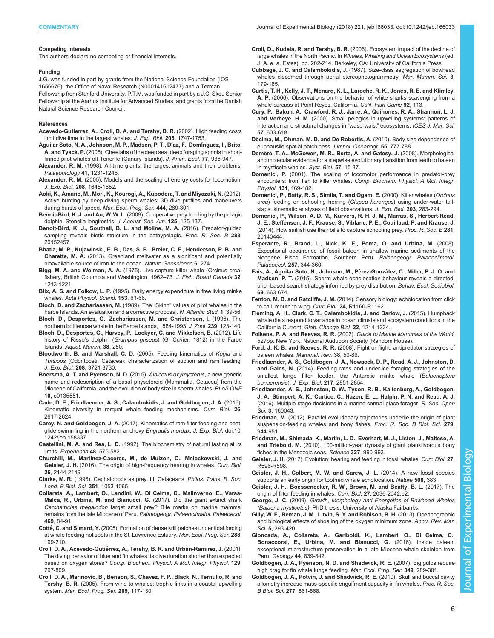#### <span id="page-5-0"></span>Competing interests

The authors declare no competing or financial interests.

#### Funding

J.G. was funded in part by grants from the National Science Foundation (IOS-1656676), the Office of Naval Research (N000141612477) and a Terman Fellowship from Stanford University. P.T.M. was funded in part by a J.C. Skou Senior Fellowship at the Aarhus Institute for Advanced Studies, and grants from the Danish Natural Science Research Council.

#### References

- Acevedo-Gutierrez, A., Croll, D. A. and Tershy, B. R. (2002). High feeding costs limit dive time in the largest whales. J. Exp. Biol. 205, 1747-1753.
- [Aguilar Soto, N. A., Johnson, M. P., Madsen, P. T., D](http://dx.doi.org/10.1111/j.1365-2656.2008.01393.x)íaz, F., Domínguez, I., Brito, A. and Tyack, P. [\(2008\). Cheetahs of the deep sea: deep foraging sprints in short-](http://dx.doi.org/10.1111/j.1365-2656.2008.01393.x)
- [finned pilot whales off Tenerife \(Canary Islands\).](http://dx.doi.org/10.1111/j.1365-2656.2008.01393.x) J. Anim. Ecol. 77, 936-947. Alexander, R. M. (1998). All-time giants: the largest animals and their problems. Palaeontology 41, 1231-1245.
- Alexander, R. M. [\(2005\). Models and the scaling of energy costs for locomotion.](http://dx.doi.org/10.1242/jeb.01484) J. Exp. Biol. 208[, 1645-1652.](http://dx.doi.org/10.1242/jeb.01484)
- [Aoki, K., Amano, M., Mori, K., Kourogi, A., Kubodera, T. and Miyazaki, N.](http://dx.doi.org/10.3354/meps09371) (2012). [Active hunting by deep-diving sperm whales: 3D dive profiles and maneuvers](http://dx.doi.org/10.3354/meps09371) [during bursts of speed.](http://dx.doi.org/10.3354/meps09371) Mar. Ecol. Prog. Ser. 444, 289-301.
- Benoit-Bird, K. J. and Au, W. W. L. [\(2009\). Cooperative prey herding by the pelagic](http://dx.doi.org/10.1121/1.2967480) [dolphin, Stenella longirostris.](http://dx.doi.org/10.1121/1.2967480) J. Acoust. Soc. Am. 125, 125-137.
- [Benoit-Bird, K. J., Southall, B. L. and Moline, M. A.](http://dx.doi.org/10.1098/rspb.2015.2457) (2016). Predator-guided [sampling reveals biotic structure in the bathypelagic.](http://dx.doi.org/10.1098/rspb.2015.2457) Proc. R. Soc. B 283, [20152457.](http://dx.doi.org/10.1098/rspb.2015.2457)
- [Bhatia, M. P., Kujawinski, E. B., Das, S. B., Breier, C. F., Henderson, P. B. and](http://dx.doi.org/10.1038/ngeo1746) Charette, M. A. [\(2013\). Greenland meltwater as a significant and potentially](http://dx.doi.org/10.1038/ngeo1746) [bioavailable source of iron to the ocean.](http://dx.doi.org/10.1038/ngeo1746) Nature Geoscience 6, 274.
- Bigg, M. A. and Wolman, A. A. [\(1975\). Live-capture killer whale \(Orcinus orca\)](http://dx.doi.org/10.1139/f75-140) [fishery, British Columbia and Washington, 1962](http://dx.doi.org/10.1139/f75-140)-73. J. Fish. Board Canada 32, [1213-1221.](http://dx.doi.org/10.1139/f75-140)
- Blix, A. S. and Folkow, L. P. [\(1995\). Daily energy expenditure in free living minke](http://dx.doi.org/10.1111/j.1748-1716.1995.tb09834.x) whales. [Acta Physiol. Scand.](http://dx.doi.org/10.1111/j.1748-1716.1995.tb09834.x) 153, 61-66.
- Bloch, D. and Zachariassen, M. (1989). The "Skinn" values of pilot whales in the Faroe Islands. An evaluation and a corrective proposal. N. Atlantic Stud. 1, 39-56.
- [Bloch, D., Desportes, G., Zachariassen, M. and Christensen, I.](http://dx.doi.org/10.1111/j.1469-7998.1996.tb05441.x) (1996). The [northern bottlenose whale in the Faroe Islands, 1584-1993.](http://dx.doi.org/10.1111/j.1469-7998.1996.tb05441.x) J. Zool. 239, 123-140.
- [Bloch, D., Desportes, G., Harvey, P., Lockyer, C. and Mikkelsen, B.](http://dx.doi.org/10.1578/AM.38.3.2012.250) (2012). Life history of Risso's dolphin (Grampus griseus[\) \(G. Cuvier, 1812\) in the Faroe](http://dx.doi.org/10.1578/AM.38.3.2012.250) Islands. [Aquat. Mamm.](http://dx.doi.org/10.1578/AM.38.3.2012.250) 38, 250.
- [Bloodworth, B. and Marshall, C. D.](http://dx.doi.org/10.1242/jeb.01807) (2005). Feeding kinematics of Kogia and Tursiops [\(Odontoceti: Cetacea\): characterization of suction and ram feeding.](http://dx.doi.org/10.1242/jeb.01807) J. Exp. Biol. 208[, 3721-3730.](http://dx.doi.org/10.1242/jeb.01807)
- [Boersma, A. T. and Pyenson, N. D.](http://dx.doi.org/10.1371/journal.pone.0135551) (2015). Albicetus oxymycterus, a new generic [name and redescription of a basal physeteroid \(Mammalia, Cetacea\) from the](http://dx.doi.org/10.1371/journal.pone.0135551) [Miocene of California, and the evolution of body size in sperm whales.](http://dx.doi.org/10.1371/journal.pone.0135551) PLoS ONE 10[, e0135551.](http://dx.doi.org/10.1371/journal.pone.0135551)
- [Cade, D. E., Friedlaender, A. S., Calambokidis, J. and Goldbogen, J. A.](http://dx.doi.org/10.1016/j.cub.2016.07.037) (2016). [Kinematic diversity in rorqual whale feeding mechanisms.](http://dx.doi.org/10.1016/j.cub.2016.07.037) Curr. Biol. 26, [2617-2624.](http://dx.doi.org/10.1016/j.cub.2016.07.037)
- Carey, N. and Goldbogen, J. A. [\(2017\). Kinematics of ram filter feeding and beat](http://dx.doi.org/10.1007/BF01920242)[glide swimming in the northern anchovy](http://dx.doi.org/10.1007/BF01920242) Engraulis mordax. J. Exp. Biol. doi:10. [1242/jeb.158337](http://dx.doi.org/10.1007/BF01920242)
- Castellini, M. A. and Rea, L. D. [\(1992\). The biochemistry of natural fasting at its](http://dx.doi.org/10.1007/BF01920242) limits. [Experientia](http://dx.doi.org/10.1007/BF01920242) 48, 575-582.
- [Churchill, M., Martinez-Caceres, M., de Muizon, C., Mnieckowski, J. and](http://dx.doi.org/10.1016/j.cub.2016.06.004) Geisler, J. H. [\(2016\). The origin of high-frequency hearing in whales.](http://dx.doi.org/10.1016/j.cub.2016.06.004) Curr. Biol. 26[, 2144-2149.](http://dx.doi.org/10.1016/j.cub.2016.06.004)
- Clarke, M. R. [\(1996\). Cephalopods as prey. III. Cetaceans.](http://dx.doi.org/10.1098/rstb.1996.0093) Philos. Trans. R. Soc. [Lond. B Biol. Sci.](http://dx.doi.org/10.1098/rstb.1996.0093) 351, 1053-1065.
- [Collareta, A., Lambert, O., Landini, W., Di Celma, C., Malinverno, E., Varas-](http://dx.doi.org/10.1016/j.palaeo.2017.01.001)[Malca, R., Urbina, M. and Bianucci, G.](http://dx.doi.org/10.1016/j.palaeo.2017.01.001) (2017). Did the giant extinct shark Carcharocles megalodon [target small prey? Bite marks on marine mammal](http://dx.doi.org/10.1016/j.palaeo.2017.01.001) remains from the late Miocene of Peru. [Palaeogeogr. Palaeoclimatol. Palaeoecol.](http://dx.doi.org/10.1016/j.palaeo.2017.01.001) 469[, 84-91.](http://dx.doi.org/10.1016/j.palaeo.2017.01.001)
- Cotté, C. and Simard, Y. [\(2005\). Formation of dense krill patches under tidal forcing](http://dx.doi.org/10.3354/meps288199) [at whale feeding hot spots in the St. Lawrence Estuary.](http://dx.doi.org/10.3354/meps288199) Mar. Ecol. Prog. Ser. 288, [199-210.](http://dx.doi.org/10.3354/meps288199)
- Croll, D. A., Acevedo-Gutiérrez, A., Tershy, B. R. and Urbán-Ramirez, J. (2001). [The diving behavior of blue and fin whales: is dive duration shorter than expected](http://dx.doi.org/10.1016/S1095-6433(01)00348-8) based on oxygen stores? [Comp. Biochem. Physiol. A Mol. Integr. Physiol.](http://dx.doi.org/10.1016/S1095-6433(01)00348-8) 129, [797-809.](http://dx.doi.org/10.1016/S1095-6433(01)00348-8)
- [Croll, D. A., Marinovic, B., Benson, S., Chavez, F. P., Black, N., Ternullo, R. and](http://dx.doi.org/10.3354/meps289117) Tershy, B. R. [\(2005\). From wind to whales: trophic links in a coastal upwelling](http://dx.doi.org/10.3354/meps289117) system. [Mar. Ecol. Prog. Ser.](http://dx.doi.org/10.3354/meps289117) 289, 117-130.
- Croll, D., Kudela, R. and Tershy, B. R. (2006). Ecosystem impact of the decline of large whales in the North Pacific. In Whales, Whaling and Ocean Ecosystems (ed. J. A. e. a. Estes), pp. 202-214. Berkeley, CA: University of California Press.
- Cubbage, J. C. and Calambokidis, J. [\(1987\). Size-class segregation of bowhead](http://dx.doi.org/10.1111/j.1748-7692.1987.tb00160.x) [whales discerned through aerial stereophotogrammetry.](http://dx.doi.org/10.1111/j.1748-7692.1987.tb00160.x) Mar. Mamm. Sci. 3, [179-185.](http://dx.doi.org/10.1111/j.1748-7692.1987.tb00160.x)
- Curtis, T. H., Kelly, J. T., Menard, K. L., Laroche, R. K., Jones, R. E. and Klimley, A. P. (2006). Observations on the behavior of white sharks scavenging from a whale carcass at Point Reves, California. Calif. Fish Game 92, 113.
- [Cury, P., Bakun, A., Crawford, R. J., Jarre, A., Quinones, R. A., Shannon, L. J.](http://dx.doi.org/10.1006/jmsc.2000.0712) and Verheye, H. M. [\(2000\). Small pelagics in upwelling systems: patterns of](http://dx.doi.org/10.1006/jmsc.2000.0712) [interaction and structural changes in](http://dx.doi.org/10.1006/jmsc.2000.0712) "wasp-waist" ecosystems. ICES J. Mar. Sci. 57[, 603-618.](http://dx.doi.org/10.1006/jmsc.2000.0712)
- Dé[cima, M., Ohman, M. D. and De Robertis, A.](http://dx.doi.org/10.4319/lo.2009.55.2.0777) (2010). Body size dependence of [euphausiid spatial patchiness.](http://dx.doi.org/10.4319/lo.2009.55.2.0777) Limnol. Oceanogr. 55, 777-788.
- Deméré[, T. A., McGowen, M. R., Berta, A. and Gatesy, J.](http://dx.doi.org/10.1080/10635150701884632) (2008). Morphological [and molecular evidence for a stepwise evolutionary transition from teeth to baleen](http://dx.doi.org/10.1080/10635150701884632) [in mysticete whales.](http://dx.doi.org/10.1080/10635150701884632) Syst. Biol. 57, 15-37.
- Domenici, P. [\(2001\). The scaling of locomotor performance in predator-prey](http://dx.doi.org/10.1016/S1095-6433(01)00465-2) encounters: from fish to killer whales. [Comp. Biochem. Physiol. A Mol. Integr.](http://dx.doi.org/10.1016/S1095-6433(01)00465-2) Physiol. 131[, 169-182.](http://dx.doi.org/10.1016/S1095-6433(01)00465-2)
- Domenici, P., Batty, R. S., Simila, T. and Ogam, E. (2000). Killer whales (Orcinus orca) feeding on schooling herring (Clupea harengus) using under-water tailslaps: kinematic analyses of field observations. J. Exp. Biol. 203, 283-294.
- [Domenici, P., Wilson, A. D. M., Kurvers, R. H. J. M., Marras, S., Herbert-Read,](http://dx.doi.org/10.1098/rspb.2014.0444) [J. E., Steffensen, J. F., Krause, S., Viblanc, P. E., Couillaud, P. and Krause, J.](http://dx.doi.org/10.1098/rspb.2014.0444) [\(2014\). How sailfish use their bills to capture schooling prey.](http://dx.doi.org/10.1098/rspb.2014.0444) Proc. R. Soc. B 281, [20140444.](http://dx.doi.org/10.1098/rspb.2014.0444)
- [Esperante, R., Brand, L., Nick, K. E., Poma, O. and Urbina, M.](http://dx.doi.org/10.1016/j.palaeo.2007.11.001) (2008). [Exceptional occurrence of fossil baleen in shallow marine sediments of the](http://dx.doi.org/10.1016/j.palaeo.2007.11.001) [Neogene Pisco Formation, Southern Peru.](http://dx.doi.org/10.1016/j.palaeo.2007.11.001) Palaeogeogr. Palaeoclimatol. [Palaeoecol.](http://dx.doi.org/10.1016/j.palaeo.2007.11.001) 257, 344-360.
- Fais, A., Aguilar Soto, N., Johnson, M., Pérez-González, C., Miller, P. J. O. and Madsen, P. T. [\(2015\). Sperm whale echolocation behaviour reveals a directed,](http://dx.doi.org/10.1007/s00265-015-1877-1) [prior-based search strategy informed by prey distribution.](http://dx.doi.org/10.1007/s00265-015-1877-1) Behav. Ecol. Sociobiol. 69[, 663-674.](http://dx.doi.org/10.1007/s00265-015-1877-1)
- Fenton, M. B. and Ratcliffe, J. M. [\(2014\). Sensory biology: echolocation from click](http://dx.doi.org/10.1016/j.cub.2014.10.073) [to call, mouth to wing.](http://dx.doi.org/10.1016/j.cub.2014.10.073) Curr. Biol. 24, R1160-R1162.
- Fleming, A. H., Clark, C. T., Calambokidis, J. and Barlow, J. (2015). Humpback whale diets respond to variance in ocean climate and ecosystem conditions in the California Current. Glob. Change Biol. 22, 1214-1224.
- Folkens, P. A. and Reeves, R. R. (2002). Guide to Marine Mammals of the World, 527pp. New York: National Audubon Society (Random House).
- Ford, J. K. B. and Reeves, R. R. [\(2008\). Fight or flight: antipredator strategies of](http://dx.doi.org/10.1111/j.1365-2907.2008.00118.x) [baleen whales.](http://dx.doi.org/10.1111/j.1365-2907.2008.00118.x) Mammal. Rev. 38, 50-86.
- [Friedlaender, A. S., Goldbogen, J. A., Nowacek, D. P., Read, A. J., Johnston, D.](http://dx.doi.org/10.1242/jeb.106682) and Gales, N. [\(2014\). Feeding rates and under-ice foraging strategies of the](http://dx.doi.org/10.1242/jeb.106682) [smallest lunge filter feeder, the Antarctic minke whale \(](http://dx.doi.org/10.1242/jeb.106682)Balaenoptera bonaerensis). J. Exp. Biol. 217[, 2851-2854.](http://dx.doi.org/10.1242/jeb.106682)
- [Friedlaender, A. S., Johnston, D. W., Tyson, R. B., Kaltenberg, A., Goldbogen,](http://dx.doi.org/10.1098/rsos.160043) [J. A., Stimpert, A. K., Curtice, C., Hazen, E. L., Halpin, P. N. and Read, A. J.](http://dx.doi.org/10.1098/rsos.160043) [\(2016\). Multiple-stage decisions in a marine central-place forager.](http://dx.doi.org/10.1098/rsos.160043) R. Soc. Open Sci. 3[, 160043.](http://dx.doi.org/10.1098/rsos.160043)
- Friedman, M. [\(2012\). Parallel evolutionary trajectories underlie the origin of giant](http://dx.doi.org/10.1098/rspb.2011.1381) [suspension-feeding whales and bony fishes.](http://dx.doi.org/10.1098/rspb.2011.1381) Proc. R. Soc. B Biol. Sci. 279, [944-951.](http://dx.doi.org/10.1098/rspb.2011.1381)
- [Friedman, M., Shimada, K., Martin, L. D., Everhart, M. J., Liston, J., Maltese, A.](http://dx.doi.org/10.1126/science.1184743) and Triebold, M. [\(2010\). 100-million-year dynasty of giant planktivorous bony](http://dx.doi.org/10.1126/science.1184743) [fishes in the Mesozoic seas.](http://dx.doi.org/10.1126/science.1184743) Science 327, 990-993.
- Geisler, J. H. [\(2017\). Evolution: hearing and feeding in fossil whales.](http://dx.doi.org/10.1016/j.cub.2017.05.007) Curr. Biol. 27, [R596-R598.](http://dx.doi.org/10.1016/j.cub.2017.05.007)
- [Geisler, J. H., Colbert, M. W. and Carew, J. L.](http://dx.doi.org/10.1038/nature13086) (2014). A new fossil species [supports an early origin for toothed whale echolocation.](http://dx.doi.org/10.1038/nature13086) Nature 508, 383.
- [Geisler, J. H., Boessenecker, R. W., Brown, M. and Beatty, B. L.](http://dx.doi.org/10.1016/j.cub.2017.06.003) (2017). The [origin of filter feeding in whales.](http://dx.doi.org/10.1016/j.cub.2017.06.003) Curr. Biol. 27, 2036-2042.e2.
- George, J. C. (2009). Growth, Morphology and Energetics of Bowhead Whales (Balaena mysticetus). PhD thesis, University of Alaska Fairbanks.
- [Gilly, W. F., Beman, J. M., Litvin, S. Y. and Robison, B. H.](http://dx.doi.org/10.1146/annurev-marine-120710-100849) (2013). Oceanographic [and biological effects of shoaling of the oxygen minimum zone.](http://dx.doi.org/10.1146/annurev-marine-120710-100849) Annu. Rev. Mar. Sci. 5[, 393-420.](http://dx.doi.org/10.1146/annurev-marine-120710-100849)
- [Gioncada, A., Collareta, A., Gariboldi, K., Lambert, O., Di Celma, C.,](http://dx.doi.org/10.1130/G38216.1) [Bonaccorsi, E., Urbina, M. and Bianucci, G.](http://dx.doi.org/10.1130/G38216.1) (2016). Inside baleen: [exceptional microstructure preservation in a late Miocene whale skeleton from](http://dx.doi.org/10.1130/G38216.1) Peru. Geology 44[, 839-842.](http://dx.doi.org/10.1130/G38216.1)
- [Goldbogen, J. A., Pyenson, N. D. and Shadwick, R. E.](http://dx.doi.org/10.3354/meps07066) (2007). Big gulps require [high drag for fin whale lunge feeding.](http://dx.doi.org/10.3354/meps07066) Mar. Ecol. Prog. Ser. 349, 289-301.
- [Goldbogen, J. A., Potvin, J. and Shadwick, R. E.](http://dx.doi.org/10.1098/rspb.2009.1680) (2010). Skull and buccal cavity [allometry increase mass-specific engulfment capacity in fin whales.](http://dx.doi.org/10.1098/rspb.2009.1680) Proc. R. Soc. [B Biol. Sci.](http://dx.doi.org/10.1098/rspb.2009.1680) 277, 861-868.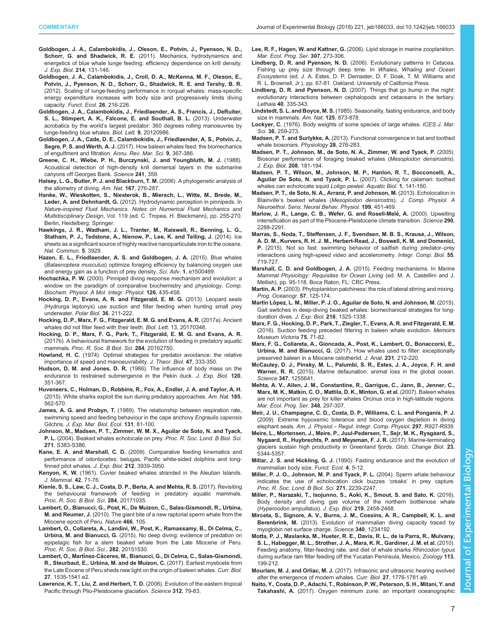- <span id="page-6-0"></span>[Goldbogen, J. A., Calambokidis, J., Oleson, E., Potvin, J., Pyenson, N. D.,](http://dx.doi.org/10.1242/jeb.048157) Schorr, G. and Shadwick, R. E. [\(2011\). Mechanics, hydrodynamics and](http://dx.doi.org/10.1242/jeb.048157) [energetics of blue whale lunge feeding: efficiency dependence on krill density.](http://dx.doi.org/10.1242/jeb.048157) [J. Exp. Biol.](http://dx.doi.org/10.1242/jeb.048157) 214, 131-146.
- [Goldbogen, J. A., Calambokidis, J., Croll, D. A., McKenna, M. F., Oleson, E.,](http://dx.doi.org/10.1111/j.1365-2435.2011.01905.x) [Potvin, J., Pyenson, N. D., Schorr, G., Shadwick, R. E. and Tershy, B. R.](http://dx.doi.org/10.1111/j.1365-2435.2011.01905.x) [\(2012\). Scaling of lunge-feeding performance in rorqual whales: mass-specific](http://dx.doi.org/10.1111/j.1365-2435.2011.01905.x) [energy expenditure increases with body size and progressively limits diving](http://dx.doi.org/10.1111/j.1365-2435.2011.01905.x) capacity. [Funct. Ecol.](http://dx.doi.org/10.1111/j.1365-2435.2011.01905.x) 26, 216-226.
- [Goldbogen, J. A., Calambokidis, J., Friedlaender, A. S., Francis, J., DeRuiter,](http://dx.doi.org/10.1098/rsbl.2012.0986) [S. L., Stimpert, A. K., Falcone, E. and Southall, B. L.](http://dx.doi.org/10.1098/rsbl.2012.0986) (2013). Underwater acrobatics by the world'[s largest predator: 360 degrees rolling manoeuvres by](http://dx.doi.org/10.1098/rsbl.2012.0986) [lunge-feeding blue whales.](http://dx.doi.org/10.1098/rsbl.2012.0986) Biol. Lett. 9, 20120986.
- [Goldbogen, J. A., Cade, D. E., Calambokidis, J., Friedlaender, A. S., Potvin, J.,](http://dx.doi.org/10.1146/annurev-marine-122414-033905) Segre, P. S. and Werth, A. J. [\(2017\). How baleen whales feed: the biomechanics](http://dx.doi.org/10.1146/annurev-marine-122414-033905) [of engulfment and filtration.](http://dx.doi.org/10.1146/annurev-marine-122414-033905) Annu. Rev. Mar. Sci. 9, 367-386.
- [Greene, C. H., Wiebe, P. H., Burczynski, J. and Youngbluth, M. J.](http://dx.doi.org/10.1126/science.241.4863.359) (1988). [Acoustical detection of high-density krill demersal layers in the submarine](http://dx.doi.org/10.1126/science.241.4863.359) [canyons off Georges Bank.](http://dx.doi.org/10.1126/science.241.4863.359) Science 241, 359.
- [Halsey, L. G., Butler, P. J. and Blackburn, T. M.](http://dx.doi.org/10.1086/499439) (2006). A phylogenetic analysis of [the allometry of diving.](http://dx.doi.org/10.1086/499439) Am. Nat. 167, 276-287.
- [Hanke, W., Wieskotten, S., Niesterok, B., Miersch, L., Witte, M., Brede, M.,](http://dx.doi.org/10.1007/978-3-642-28302-4_16) Leder, A. and Dehnhardt, G. [\(2012\). Hydrodynamic perception in pinnipeds. In](http://dx.doi.org/10.1007/978-3-642-28302-4_16) [Nature-inspired Fluid Mechanics. Notes on Numerical Fluid Mechanics and](http://dx.doi.org/10.1007/978-3-642-28302-4_16) Multidisciplinary Design[, Vol. 119 \(ed. C. Tropea, H. Bleckmann\), pp. 255-270.](http://dx.doi.org/10.1007/978-3-642-28302-4_16) [Berlin, Heidelberg: Springer.](http://dx.doi.org/10.1007/978-3-642-28302-4_16)
- [Hawkings, J. R., Wadham, J. L., Tranter, M., Raiswell, R., Benning, L. G.,](http://dx.doi.org/10.1038/ncomms4929) [Statham, P. J., Tedstone, A., Nienow, P., Lee, K. and Telling, J.](http://dx.doi.org/10.1038/ncomms4929) (2014). Ice [sheets as a significant source of highly reactive nanoparticulate iron to the oceans.](http://dx.doi.org/10.1038/ncomms4929) [Nat. Commun.](http://dx.doi.org/10.1038/ncomms4929) 5, 3929.
- [Hazen, E. L., Friedlaender, A. S. and Goldbogen, J. A.](http://dx.doi.org/10.1126/sciadv.1500469) (2015). Blue whales (Balaenoptera musculus[\) optimize foraging efficiency by balancing oxygen use](http://dx.doi.org/10.1126/sciadv.1500469) [and energy gain as a function of prey density.](http://dx.doi.org/10.1126/sciadv.1500469) Sci. Adv. 1, e1500469
- Hochachka, P. W. [\(2000\). Pinniped diving response mechanism and evolution: a](http://dx.doi.org/10.1016/S1095-6433(00)00231-2) [window on the paradigm of comparative biochemistry and physiology.](http://dx.doi.org/10.1016/S1095-6433(00)00231-2) Comp. [Biochem. Physiol. A Mol. Integr. Physiol.](http://dx.doi.org/10.1016/S1095-6433(00)00231-2) 126, 435-458.
- [Hocking, D. P., Evans, A. R. and Fitzgerald, E. M. G.](http://dx.doi.org/10.1007/s00300-012-1253-9) (2013). Leopard seals [\(Hydrurga leptonyx\) use suction and filter feeding when hunting small prey](http://dx.doi.org/10.1007/s00300-012-1253-9) [underwater.](http://dx.doi.org/10.1007/s00300-012-1253-9) Polar Biol. 36, 211-222.
- [Hocking, D. P., Marx, F. G., Fitzgerald, E. M. G. and Evans, A. R.](http://dx.doi.org/10.1098/rsbl.2017.0348) (2017a). Ancient [whales did not filter feed with their teeth.](http://dx.doi.org/10.1098/rsbl.2017.0348) Biol. Lett. 13, 20170348.
- [Hocking, D. P., Marx, F. G., Park, T., Fitzgerald, E. M. G. and Evans, A. R.](http://dx.doi.org/10.1098/rspb.2016.2750) [\(2017b\). A behavioural framework for the evolution of feeding in predatory aquatic](http://dx.doi.org/10.1098/rspb.2016.2750) mammals. [Proc. R. Soc. B Biol. Sci.](http://dx.doi.org/10.1098/rspb.2016.2750) 284, 20162750.
- Howland, H. C. [\(1974\). Optimal strategies for predator avoidance: the relative](http://dx.doi.org/10.1016/0022-5193(74)90202-1) [importance of speed and manoeuvrability.](http://dx.doi.org/10.1016/0022-5193(74)90202-1) J. Theor. Biol. 47, 333-350.
- Hudson, D. M. and Jones, D. R. (1986). The influence of body mass on the endurance to restrained submergence in the Pekin duck. J. Exp. Biol. 120, 351-367.
- [Huveneers, C., Holman, D., Robbins, R., Fox, A., Endler, J. A. and Taylor, A. H.](http://dx.doi.org/10.1086/680010) [\(2015\). White sharks exploit the sun during predatory approaches.](http://dx.doi.org/10.1086/680010) Am. Nat. 185, [562-570.](http://dx.doi.org/10.1086/680010)
- James, A. G. and Probyn, T. [\(1989\). The relationship between respiration rate,](http://dx.doi.org/10.1016/0022-0981(89)90001-4) [swimming speed and feeding behaviour in the cape anchovy](http://dx.doi.org/10.1016/0022-0981(89)90001-4) Engraulis capensis Gilchris. [J. Exp. Mar. Biol. Ecol.](http://dx.doi.org/10.1016/0022-0981(89)90001-4) 131, 81-100.
- [Johnson, M., Madsen, P. T., Zimmer, W. M. X., Aguilar de Soto, N. and Tyack,](http://dx.doi.org/10.1098/rsbl.2004.0208) P. L. [\(2004\). Beaked whales echolocate on prey.](http://dx.doi.org/10.1098/rsbl.2004.0208) Proc. R. Soc. Lond. B Biol. Sci. 271[, S383-S386.](http://dx.doi.org/10.1098/rsbl.2004.0208)
- Kane, E. A. and Marshall, C. D. [\(2009\). Comparative feeding kinematics and](http://dx.doi.org/10.1242/jeb.034686) [performance of odontocetes: belugas, Pacific white-sided dolphins and long](http://dx.doi.org/10.1242/jeb.034686)[finned pilot whales.](http://dx.doi.org/10.1242/jeb.034686) J. Exp. Biol. 212, 3939-3950.
- Kenyon, K. W. [\(1961\). Cuvier beaked whales stranded in the Aleutian Islands.](http://dx.doi.org/10.2307/1377244) [J. Mammal.](http://dx.doi.org/10.2307/1377244) 42, 71-76.
- [Kienle, S. S., Law, C. J., Costa, D. P., Berta, A. and Mehta, R. S.](http://dx.doi.org/10.1098/rspb.2017.1035) (2017). Revisiting [the behavioural framework of feeding in predatory aquatic mammals.](http://dx.doi.org/10.1098/rspb.2017.1035) [Proc. R. Soc. B Biol. Sci.](http://dx.doi.org/10.1098/rspb.2017.1035) 284, 20171035.
- [Lambert, O., Bianucci, G., Post, K., De Muizon, C., Salas-Gismondi, R., Urbina,](http://dx.doi.org/10.1038/nature09067) M. and Reumer, J. [\(2010\). The giant bite of a new raptorial sperm whale from the](http://dx.doi.org/10.1038/nature09067) [Miocene epoch of Peru.](http://dx.doi.org/10.1038/nature09067) Nature 466, 105.
- [Lambert, O., Collareta, A., Landini, W., Post, K., Ramassamy, B., Di Celma, C.,](http://dx.doi.org/10.1098/rspb.2015.1530) Urbina, M. and Bianucci, G. [\(2015\). No deep diving: evidence of predation on](http://dx.doi.org/10.1098/rspb.2015.1530) [epipelagic fish for a stem beaked whale from the Late Miocene of Peru.](http://dx.doi.org/10.1098/rspb.2015.1530) [Proc. R. Soc. B Biol. Sci.](http://dx.doi.org/10.1098/rspb.2015.1530), 282, 20151530.
- Lambert, O., Martínez-Cá[ceres, M., Bianucci, G., Di Celma, C., Salas-Gismondi,](http://dx.doi.org/10.1016/j.cub.2017.04.026) [R., Steurbaut, E., Urbina, M. and de Muizon, C.](http://dx.doi.org/10.1016/j.cub.2017.04.026) (2017). Earliest mysticete from [the Late Eocene of Peru sheds new light on the origin of baleen whales.](http://dx.doi.org/10.1016/j.cub.2017.04.026) Curr. Biol. 27[, 1535-1541.e2.](http://dx.doi.org/10.1016/j.cub.2017.04.026)
- [Lawrence, K. T., Liu, Z. and Herbert, T. D.](http://dx.doi.org/10.1126/science.1120395) (2006). Evolution of the eastern tropical [Pacific through Plio-Pleistocene glaciation.](http://dx.doi.org/10.1126/science.1120395) Science 312, 79-83.
- Lee, R. F., Hagen, W. and Kattner, G. [\(2006\). Lipid storage in marine zooplankton.](http://dx.doi.org/10.3354/meps307273) [Mar. Ecol. Prog. Ser.](http://dx.doi.org/10.3354/meps307273) 307, 273-306.
- Lindberg, D. R. and Pyenson, N. D. (2006). Evolutionary patterns in Cetacea. Fishing up prey size through deep time. In Whales, Whaling and Ocean Ecosystems (ed. J. A. Estes, D. P. Demaster, D. F. Doak, T. M. Williams and R. L. Brownell, Jr.), pp. 67-81. Oakland: University of California Press.
- Lindberg, D. R. and Pyenson, N. D. [\(2007\). Things that go bump in the night:](http://dx.doi.org/10.1111/j.1502-3931.2007.00032.x) [evolutionary interactions between cephalopods and cetaceans in the tertiary.](http://dx.doi.org/10.1111/j.1502-3931.2007.00032.x) Lethaia 40[, 335-343.](http://dx.doi.org/10.1111/j.1502-3931.2007.00032.x)
- Lindstedt, S. L. and Boyce, M. S. [\(1985\). Seasonality, fasting endurance, and body](http://dx.doi.org/10.1086/284385) [size in mammals.](http://dx.doi.org/10.1086/284385) Am. Nat. 125, 873-878.
- Lockyer, C. [\(1976\). Body weights of some species of large whales.](http://dx.doi.org/10.1093/icesjms/36.3.259) ICES J. Mar. Sci. 36[, 259-273.](http://dx.doi.org/10.1093/icesjms/36.3.259)
- Madsen, P. T. and Surlykke, A. [\(2013\). Functional convergence in bat and toothed](http://dx.doi.org/10.1152/physiol.00008.2013) [whale biosonars.](http://dx.doi.org/10.1152/physiol.00008.2013) Physiology 28, 276-283.
- [Madsen, P. T., Johnson, M., de Soto, N. A., Zimmer, W. and Tyack, P.](http://dx.doi.org/10.1242/jeb.01327) (2005). [Biosonar performance of foraging beaked whales \(](http://dx.doi.org/10.1242/jeb.01327)Mesoplodon densirostris). [J. Exp. Biol.](http://dx.doi.org/10.1242/jeb.01327) 208, 181-194.
- Madsen, P. T., Wilson, M., Johnson, M. P., Hanlon, R. T., Bocconcelli, A., Aguilar De Soto, N. and Tyack, P. L. (2007). Clicking for calamari: toothed whales can echolocate squid Loligo pealeii. Aquatic Biol. 1, 141-150.
- [Madsen, P. T., de Soto, N. A., Arranz, P. and Johnson, M.](http://dx.doi.org/10.1007/s00359-013-0824-8) (2013). Echolocation in Blainville's beaked whales ([Mesoplodon densirostris](http://dx.doi.org/10.1007/s00359-013-0824-8)). J. Comp. Physiol. A [Neuroethol. Sens. Neural Behav. Physiol.](http://dx.doi.org/10.1007/s00359-013-0824-8) 199, 451-469.
- Marlow, J. R., Lange, C. B., Wefer, G. and Rosell-Melé, A. (2000). Upwelling intensification as part of the Pliocene-Pleistocene climate transition. Science 290, 2288-2291.
- [Marras, S., Noda, T., Steffensen, J. F., Svendsen, M. B. S., Krause, J., Wilson,](http://dx.doi.org/10.1093/icb/icv017) [A. D. M., Kurvers, R. H. J. M., Herbert-Read, J., Boswell, K. M. and Domenici,](http://dx.doi.org/10.1093/icb/icv017) P. [\(2015\). Not so fast: swimming behavior of sailfish during predator](http://dx.doi.org/10.1093/icb/icv017)–prey [interactions using high-speed video and accelerometry.](http://dx.doi.org/10.1093/icb/icv017) Integr. Comp. Biol. 55, [719-727.](http://dx.doi.org/10.1093/icb/icv017)
- Marshall, C. D. and Goldbogen, J. A. (2015). Feeding mechanisms. In Marine Mammal Physiology: Requisites for Ocean Living (ed. M. A. Castellini and J. Mellish), pp. 95-118. Boca Raton, FL: CRC Press.
- Martin, A. P. [\(2003\). Phytoplankton patchiness: the role of lateral stirring and mixing.](http://dx.doi.org/10.1016/S0079-6611(03)00085-5) [Prog. Oceanogr.](http://dx.doi.org/10.1016/S0079-6611(03)00085-5) 57, 125-174.
- Martín Ló[pez, L. M., Miller, P. J. O., Aguilar de Soto, N. and Johnson, M.](http://dx.doi.org/10.1242/jeb.106013) (2015). [Gait switches in deep-diving beaked whales: biomechanical strategies for long](http://dx.doi.org/10.1242/jeb.106013)[duration dives.](http://dx.doi.org/10.1242/jeb.106013) J. Exp. Biol. 218, 1325-1338.
- [Marx, F. G., Hocking, D. P., Park, T., Ziegler, T., Evans, A. R. and Fitzgerald, E. M.](http://dx.doi.org/10.24199/j.mmv.2016.75.04) [\(2016\). Suction feeding preceded filtering in baleen whale evolution.](http://dx.doi.org/10.24199/j.mmv.2016.75.04) Memoirs [Museum Victoria](http://dx.doi.org/10.24199/j.mmv.2016.75.04) 75, 71-82.
- [Marx, F. G., Collareta, A., Gioncada, A., Post, K., Lambert, O., Bonaccorsi, E.,](http://dx.doi.org/10.1111/joa.12622) Urbina, M. and Bianucci, G. [\(2017\). How whales used to filter: exceptionally](http://dx.doi.org/10.1111/joa.12622) [preserved baleen in a Miocene cetotheriid.](http://dx.doi.org/10.1111/joa.12622) J. Anat. 231, 212-220.
- [McCauley, D. J., Pinsky, M. L., Palumbi, S. R., Estes, J. A., Joyce, F. H. and](http://dx.doi.org/10.1126/science.1255641) Warner, R. R. [\(2015\). Marine defaunation: animal loss in the global ocean.](http://dx.doi.org/10.1126/science.1255641) Science 347[, 1255641.](http://dx.doi.org/10.1126/science.1255641)
- [Mehta, A. V., Allen, J. M., Constantine, R., Garrigue, C., Jann, B., Jenner, C.,](http://dx.doi.org/10.3354/meps07015) [Marx, M. K., Matkin, C. O., Mattila, D. K., Minton, G. et al.](http://dx.doi.org/10.3354/meps07015) (2007). Baleen whales [are not important as prey for killer whales Orcinus orca in high-latitude regions.](http://dx.doi.org/10.3354/meps07015) [Mar. Ecol. Prog. Ser.](http://dx.doi.org/10.3354/meps07015) 348, 297-307.
- [Meir, J. U., Champagne, C. D., Costa, D. P., Williams, C. L. and Ponganis, P. J.](http://dx.doi.org/10.1152/ajpregu.00247.2009) [\(2009\). Extreme hypoxemic tolerance and blood oxygen depletion in diving](http://dx.doi.org/10.1152/ajpregu.00247.2009) elephant seals. Am. J. Physiol.– [Regul. Integr. Comp. Physiol.](http://dx.doi.org/10.1152/ajpregu.00247.2009) 297, R927-R939.
- [Meire, L., Mortensen, J., Meire, P., Juul-Pedersen, T., Sejr, M. K., Rysgaard, S.,](http://dx.doi.org/10.1111/gcb.13801) [Nygaard, R., Huybrechts, P. and Meysman, F. J. R.](http://dx.doi.org/10.1111/gcb.13801) (2017). Marine-terminating [glaciers sustain high productivity in Greenland fjords.](http://dx.doi.org/10.1111/gcb.13801) Glob. Change Biol. 23, [5344-5357.](http://dx.doi.org/10.1111/gcb.13801)
- Millar, J. S. and Hickling, G. J. [\(1990\). Fasting endurance and the evolution of](http://dx.doi.org/10.2307/2389646) [mammalian body size.](http://dx.doi.org/10.2307/2389646) Funct. Ecol. 4, 5-12.
- [Miller, P. J. O., Johnson, M. P. and Tyack, P. L.](http://dx.doi.org/10.1098/rspb.2004.2863) (2004). Sperm whale behaviour [indicates the use of echolocation click buzzes](http://dx.doi.org/10.1098/rspb.2004.2863) 'creaks' in prey capture. [Proc. R. Soc. Lond. B Biol. Sci.](http://dx.doi.org/10.1098/rspb.2004.2863) 271, 2239-2247.
- [Miller, P., Narazaki, T., Isojunno, S., Aoki, K., Smout, S. and Sato, K.](http://dx.doi.org/10.1242/jeb.137349) (2016). [Body density and diving gas volume of the northern bottlenose whale](http://dx.doi.org/10.1242/jeb.137349) ([Hyperoodon ampullatus](http://dx.doi.org/10.1242/jeb.137349)). J. Exp. Biol. 219, 2458-2468.
- [Mirceta, S., Signore, A. V., Burns, J. M., Cossins, A. R., Campbell, K. L. and](http://dx.doi.org/10.1126/science.1234192) Berenbrink, M. [\(2013\). Evolution of mammalian diving capacity traced by](http://dx.doi.org/10.1126/science.1234192) [myoglobin net surface charge.](http://dx.doi.org/10.1126/science.1234192) Science 340, 1234192.
- [Motta, P. J., Maslanka, M., Hueter, R. E., Davis, R. L., de la Parra, R., Mulvany,](http://dx.doi.org/10.1016/j.zool.2009.12.001) [S. L., Habegger, M. L., Strother, J. A., Mara, K. R., Gardiner, J. M. et al.](http://dx.doi.org/10.1016/j.zool.2009.12.001) (2010). [Feeding anatomy, filter-feeding rate, and diet of whale sharks](http://dx.doi.org/10.1016/j.zool.2009.12.001) Rhincodon typus [during surface ram filter feeding off the Yucatan Peninsula, Mexico.](http://dx.doi.org/10.1016/j.zool.2009.12.001) Zoology 113, [199-212.](http://dx.doi.org/10.1016/j.zool.2009.12.001)
- Mourlam, M. J. and Orliac, M. J. [\(2017\). Infrasonic and ultrasonic hearing evolved](http://dx.doi.org/10.1016/j.cub.2017.04.061) [after the emergence of modern whales.](http://dx.doi.org/10.1016/j.cub.2017.04.061) Curr. Biol. 27, 1776-1781.e9.
- [Naito, Y., Costa, D. P., Adachi, T., Robinson, P. W., Peterson, S. H., Mitani, Y. and](http://dx.doi.org/10.1002/ece3.3202) Takahashi, A. [\(2017\). Oxygen minimum zone: an important oceanographic](http://dx.doi.org/10.1002/ece3.3202)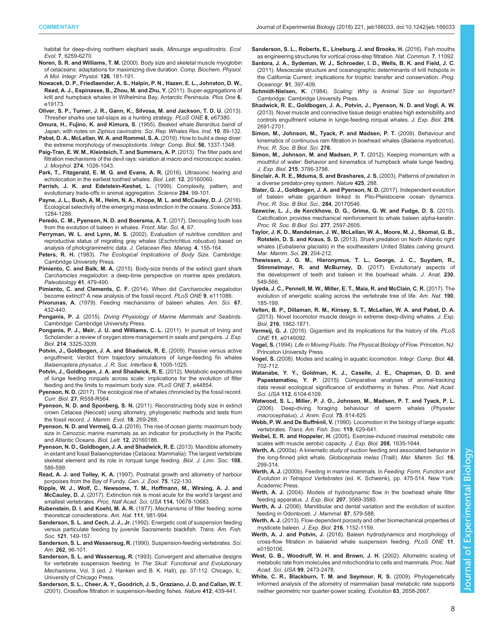<span id="page-7-0"></span>[habitat for deep-diving northern elephant seals,](http://dx.doi.org/10.1002/ece3.3202) Mirounga angustirostris. Ecol. Evol. 7[, 6259-6270.](http://dx.doi.org/10.1002/ece3.3202)

- Noren, S. R. and Williams, T. M. [\(2000\). Body size and skeletal muscle myoglobin](http://dx.doi.org/10.1016/S1095-6433(00)00182-3) [of cetaceans: adaptations for maximizing dive duration.](http://dx.doi.org/10.1016/S1095-6433(00)00182-3) Comp. Biochem. Physiol. [A Mol. Integr. Physiol.](http://dx.doi.org/10.1016/S1095-6433(00)00182-3) 126, 181-191.
- [Nowacek, D. P., Friedlaender, A. S., Halpin, P. N., Hazen, E. L., Johnston, D. W.,](http://dx.doi.org/10.1371/journal.pone.0019173) [Read, A. J., Espinasse, B., Zhou, M. and Zhu, Y.](http://dx.doi.org/10.1371/journal.pone.0019173) (2011). Super-aggregations of [krill and humpback whales in Wilhelmina Bay, Antarctic Peninsula.](http://dx.doi.org/10.1371/journal.pone.0019173) Plos One 6, [e19173.](http://dx.doi.org/10.1371/journal.pone.0019173)
- [Oliver, S. P., Turner, J. R., Gann, K., Silvosa, M. and Jackson, T. D. U.](http://dx.doi.org/10.1371/journal.pone.0067380) (2013). [Thresher sharks use tail-slaps as a hunting strategy.](http://dx.doi.org/10.1371/journal.pone.0067380) PLoS ONE 8, e67380.
- Omura, H., Fujino, K. and Kimura, S. (1955). Beaked whale Berardius bairdi of Japan, with notes on Ziphius cavirostris. Sci. Rep. Whales Res. Inst. 10, 89-132.
- [Pabst, D. A., McLellan, W. A. and Rommel, S. A.](http://dx.doi.org/10.1093/icb/icw126) (2016). How to build a deep diver: [the extreme morphology of mesoplodonts.](http://dx.doi.org/10.1093/icb/icw126) Integr. Comp. Biol. 56, 1337-1348.
- [Paig-Tran, E. W. M., Kleinteich, T. and Summers, A. P.](http://dx.doi.org/10.1002/jmor.20160) (2013). The filter pads and [filtration mechanisms of the devil rays: variation at macro and microscopic scales.](http://dx.doi.org/10.1002/jmor.20160) J. Morphol. 274[, 1026-1043.](http://dx.doi.org/10.1002/jmor.20160)
- [Park, T., Fitzgerald, E. M. G. and Evans, A. R.](http://dx.doi.org/10.1098/rsbl.2016.0060) (2016). Ultrasonic hearing and [echolocation in the earliest toothed whales.](http://dx.doi.org/10.1098/rsbl.2016.0060) Biol. Lett. 12. 20160060.
- [Parrish, J. K. and Edelstein-Keshet, L.](http://dx.doi.org/10.1126/science.284.5411.99) (1999). Complexity, pattern, and [evolutionary trade-offs in animal aggregation.](http://dx.doi.org/10.1126/science.284.5411.99) Science 284, 99-101.
- [Payne, J. L., Bush, A. M., Heim, N. A., Knope, M. L. and McCauley, D. J.](http://dx.doi.org/10.1126/science.aaf2416) (2016). [Ecological selectivity of the emerging mass extinction in the oceans.](http://dx.doi.org/10.1126/science.aaf2416) Science 353, [1284-1286.](http://dx.doi.org/10.1126/science.aaf2416)
- [Peredo, C. M., Pyenson, N. D. and Boersma, A. T.](http://dx.doi.org/10.3389/fmars.2017.00067) (2017). Decoupling tooth loss [from the evolution of baleen in whales.](http://dx.doi.org/10.3389/fmars.2017.00067) Front. Mar. Sci. 4, 67.
- Perryman, W. L. and Lynn, M. S. (2002). Evaluation of nutritive condition and reproductive status of migrating gray whales (Eschrichtius robustus) based on analysis of photogrammetric data. J. Cetacean Res. Manag. 4, 155-164.
- Peters, R. H. (1983). The Ecological Implications of Body Size. Cambridge: Cambridge University Press.
- Pimiento, C. and Balk, M. A. [\(2015\). Body-size trends of the extinct giant shark](http://dx.doi.org/10.1017/pab.2015.16) Carcharocles megalodon[: a deep-time perspective on marine apex predators.](http://dx.doi.org/10.1017/pab.2015.16) [Paleobiology](http://dx.doi.org/10.1017/pab.2015.16) 41, 479-490.
- [Pimiento, C. and Clements, C. F.](http://dx.doi.org/10.1371/journal.pone.0111086) (2014). When did Carcharocles megalodon [become extinct? A new analysis of the fossil record.](http://dx.doi.org/10.1371/journal.pone.0111086) PLoS ONE 9, e111086.
- Pivorunas, A. (1979). Feeding mechanisms of baleen whales. Am. Sci. 67, 432-440.
- Ponganis, P. J. (2015). Diving Physiology of Marine Mammals and Seabirds. Cambridge: Cambridge University Press.
- [Ponganis, P. J., Meir, J. U. and Williams, C. L.](http://dx.doi.org/10.1242/jeb.031252) (2011). In pursuit of Irving and [Scholander: a review of oxygen store management in seals and penguins.](http://dx.doi.org/10.1242/jeb.031252) J. Exp. Biol. 214[, 3325-3339.](http://dx.doi.org/10.1242/jeb.031252)
- [Potvin, J., Goldbogen, J. A. and Shadwick, R. E.](http://dx.doi.org/10.1098/rsif.2008.0492) (2009). Passive versus active [engulfment: Verdict from trajectory simulations of lunge-feeding fin whales](http://dx.doi.org/10.1098/rsif.2008.0492) [Balaenoptera physalus](http://dx.doi.org/10.1098/rsif.2008.0492). J. R. Soc. Interface 6, 1005-1025.
- [Potvin, J., Goldbogen, J. A. and Shadwick, R. E.](http://dx.doi.org/10.1371/journal.pone.0044854) (2012). Metabolic expenditures [of lunge feeding rorquals across scale: implications for the evolution of filter](http://dx.doi.org/10.1371/journal.pone.0044854) [feeding and the limits to maximum body size.](http://dx.doi.org/10.1371/journal.pone.0044854) PLoS ONE 7, e44854.
- Pyenson, N. D. [\(2017\). The ecological rise of whales chronicled by the fossil record.](http://dx.doi.org/10.1016/j.cub.2017.05.001) Curr. Biol. 27[, R558-R564.](http://dx.doi.org/10.1016/j.cub.2017.05.001)
- Pyenson, N. D. and Sponberg, S. N. [\(2011\). Reconstructing body size in extinct](http://dx.doi.org/10.1007/s10914-011-9170-1) [crown Cetacea \(Neoceti\) using allometry, phylogenetic methods and tests from](http://dx.doi.org/10.1007/s10914-011-9170-1) [the fossil record.](http://dx.doi.org/10.1007/s10914-011-9170-1) J. Mamm. Evol. 18, 269-288.
- Pyenson, N. D. and Vermeij, G. J. [\(2016\). The rise of ocean giants: maximum body](http://dx.doi.org/10.1098/rsbl.2016.0186) [size in Cenozoic marine mammals as an indicator for productivity in the Pacific](http://dx.doi.org/10.1098/rsbl.2016.0186) [and Atlantic Oceans.](http://dx.doi.org/10.1098/rsbl.2016.0186) Biol. Lett. 12, 20160186.
- [Pyenson, N. D., Goldbogen, J. A. and Shadwick, R. E.](http://dx.doi.org/10.1111/j.1095-8312.2012.02032.x) (2013). Mandible allometry [in extant and fossil Balaenopteridae \(Cetacea: Mammalia\): The largest vertebrate](http://dx.doi.org/10.1111/j.1095-8312.2012.02032.x) [skeletal element and its role in rorqual lunge feeding.](http://dx.doi.org/10.1111/j.1095-8312.2012.02032.x) Biol. J. Linn. Soc. 108, [586-599.](http://dx.doi.org/10.1111/j.1095-8312.2012.02032.x)
- Read, A. J. and Tolley, K. A. [\(1997\). Postnatal growth and allometry of harbour](http://dx.doi.org/10.1139/z97-016) [porpoises from the Bay of Fundy.](http://dx.doi.org/10.1139/z97-016) Can. J. Zool. 75, 122-130.
- [Ripple, W. J., Wolf, C., Newsome, T. M., Hoffmann, M., Wirsing, A. J. and](http://dx.doi.org/10.1073/pnas.1702078114) McCauley, D. J. [\(2017\). Extinction risk is most acute for the world](http://dx.doi.org/10.1073/pnas.1702078114)'s largest and smallest vertebrates. [Proc. Natl Acad. Sci. USA](http://dx.doi.org/10.1073/pnas.1702078114) 114, 10678-10683.
- Rubenstein, D. I. and Koehl, M. A. R. [\(1977\). Mechanisms of filter feeding: some](http://dx.doi.org/10.1086/283227) [theoretical considerations.](http://dx.doi.org/10.1086/283227) Am. Nat. 111, 981-994.
- Sanderson, S. L. and Cech, J. J., Jr. [\(1992\). Energetic cost of suspension feeding](http://dx.doi.org/10.1577/1548-8659(1992)121%3C0149:ECOSFV%3E2.3.CO;2) [versus particulate feeding by juvenile Sacramento blackfish.](http://dx.doi.org/10.1577/1548-8659(1992)121%3C0149:ECOSFV%3E2.3.CO;2) Trans. Am. Fish. Soc. 121[, 149-157.](http://dx.doi.org/10.1577/1548-8659(1992)121%3C0149:ECOSFV%3E2.3.CO;2)
- Sanderson, S. L. and Wassersug, R. [\(1990\). Suspension-feeding vertebrates.](http://dx.doi.org/10.1038/scientificamerican0390-96) Sci. Am. 262[, 96-101.](http://dx.doi.org/10.1038/scientificamerican0390-96)
- Sanderson, S. L. and Wassersug, R. (1993). Convergent and alternative designs for vertebrate suspension feeding. In The Skull: Functional and Evolutionary Mechanisms, Vol. 3 (ed. J. Hanken and B. K. Hall), pp. 37-112. Chicago, IL: University of Chicago Press.
- [Sanderson, S. L., Cheer, A. Y., Goodrich, J. S., Graziano, J. D. and Callan, W. T.](http://dx.doi.org/10.1038/35086574) [\(2001\). Crossflow filtration in suspension-feeding fishes.](http://dx.doi.org/10.1038/35086574) Nature 412, 439-441.
- [Sanderson, S. L., Roberts, E., Lineburg, J. and Brooks, H.](http://dx.doi.org/10.1038/ncomms11092) (2016). Fish mouths [as engineering structures for vortical cross-step filtration.](http://dx.doi.org/10.1038/ncomms11092) Nat. Commun. 7, 11092.
- [Santora, J. A., Sydeman, W. J., Schroeder, I. D., Wells, B. K. and Field, J. C.](http://dx.doi.org/10.1016/j.pocean.2011.04.002) [\(2011\). Mesoscale structure and oceanographic determinants of krill hotspots in](http://dx.doi.org/10.1016/j.pocean.2011.04.002) [the California Current: implications for trophic transfer and conservation.](http://dx.doi.org/10.1016/j.pocean.2011.04.002) Prog. [Oceanogr.](http://dx.doi.org/10.1016/j.pocean.2011.04.002) 91, 397-409.
- Schmidt-Nielsen, K. (1984). Scaling: Why is Animal Size so Important? Cambridge: Cambridge University Press.
- [Shadwick, R. E., Goldbogen, J. A., Potvin, J., Pyenson, N. D. and Vogl, A. W.](http://dx.doi.org/10.1242/jeb.081752) [\(2013\). Novel muscle and connective tissue design enables high extensibility and](http://dx.doi.org/10.1242/jeb.081752) [controls engulfment volume in lunge-feeding rorqual whales.](http://dx.doi.org/10.1242/jeb.081752) J. Exp. Biol. 216, [2691-2701.](http://dx.doi.org/10.1242/jeb.081752)
- [Simon, M., Johnson, M., Tyack, P. and Madsen, P. T.](http://dx.doi.org/10.1098/rspb.2009.1135) (2009). Behaviour and [kinematics of continuous ram filtration in bowhead whales \(](http://dx.doi.org/10.1098/rspb.2009.1135)Balaena mysticetus). [Proc. R. Soc. B Biol. Sci.](http://dx.doi.org/10.1098/rspb.2009.1135) 276.
- [Simon, M., Johnson, M. and Madsen, P. T.](http://dx.doi.org/10.1242/jeb.071092) (2012). Keeping momentum with a [mouthful of water: Behavior and kinematics of humpback whale lunge feeding.](http://dx.doi.org/10.1242/jeb.071092) J. Exp. Biol. 215[, 3786-3798.](http://dx.doi.org/10.1242/jeb.071092)
- [Sinclair, A. R. E., Mduma, S. and Brashares, J. S.](http://dx.doi.org/10.1038/nature01934) (2003). Patterns of predation in [a diverse predator-prey system.](http://dx.doi.org/10.1038/nature01934) Nature 425, 288.
- [Slater, G. J., Goldbogen, J. A. and Pyenson, N. D.](http://dx.doi.org/10.1098/rspb.2017.0546) (2017). Independent evolution [of baleen whale gigantism linked to Plio-Pleistocene ocean dynamics.](http://dx.doi.org/10.1098/rspb.2017.0546) [Proc. R. Soc. B Biol. Sci.](http://dx.doi.org/10.1098/rspb.2017.0546), 284, 20170546.
- [Szewciw, L. J., de Kerckhove, D. G., Grime, G. W. and Fudge, D. S.](http://dx.doi.org/10.1098/rspb.2010.0399) (2010). [Calcification provides mechanical reinforcement to whale baleen alpha-keratin.](http://dx.doi.org/10.1098/rspb.2010.0399) [Proc. R. Soc. B Biol. Sci.](http://dx.doi.org/10.1098/rspb.2010.0399) 277, 2597-2605.
- [Taylor, J. K. D., Mandelman, J. W., McLellan, W. A., Moore, M. J., Skomal, G. B.,](http://dx.doi.org/10.1111/j.1748-7692.2011.00542.x) Rotstein, D. S. and Kraus, S. D. [\(2013\). Shark predation on North Atlantic right](http://dx.doi.org/10.1111/j.1748-7692.2011.00542.x) whales (Eubalaena glacialis[\) in the southeastern United States calving ground.](http://dx.doi.org/10.1111/j.1748-7692.2011.00542.x) [Mar. Mamm. Sci.](http://dx.doi.org/10.1111/j.1748-7692.2011.00542.x) 29, 204-212.
- [Thewissen, J. G. M., Hieronymus, T. L., George, J. C., Suydam, R.,](http://dx.doi.org/10.1111/joa.12579) [Stimmelmayr, R. and McBurney, D.](http://dx.doi.org/10.1111/joa.12579) (2017). Evolutionary aspects of [the development of teeth and baleen in the bowhead whale.](http://dx.doi.org/10.1111/joa.12579) J. Anat. 230, [549-566.](http://dx.doi.org/10.1111/joa.12579)
- [Uyeda, J. C., Pennell, M. W., Miller, E. T., Maia, R. and McClain, C. R.](http://dx.doi.org/10.1086/692326) (2017). The [evolution of energetic scaling across the vertebrate tree of life.](http://dx.doi.org/10.1086/692326) Am. Nat. 190, [185-199.](http://dx.doi.org/10.1086/692326)
- [Velten, B. P., Dillaman, R. M., Kinsey, S. T., McLellan, W. A. and Pabst, D. A.](http://dx.doi.org/10.1242/jeb.081323) [\(2013\). Novel locomotor muscle design in extreme deep-diving whales.](http://dx.doi.org/10.1242/jeb.081323) J. Exp. Biol. 216[, 1862-1871.](http://dx.doi.org/10.1242/jeb.081323)
- Vermeij, G. J. [\(2016\). Gigantism and its implications for the history of life.](http://dx.doi.org/10.1371/journal.pone.0146092) PLoS ONE 11[, e0146092.](http://dx.doi.org/10.1371/journal.pone.0146092)
- Vogel, S. (1994). Life in Moving Fluids: The Physical Biology of Flow. Princeton, NJ: Princeton University Press.
- Vogel, S. [\(2008\). Modes and scaling in aquatic locomotion.](http://dx.doi.org/10.1093/icb/icn014) Integr. Comp. Biol. 48, [702-712.](http://dx.doi.org/10.1093/icb/icn014)
- Watanabe, Y. Y., Goldman, K. J., Caselle, J. E., Chapman, D. D. and Papastamatiou, Y. P. (2015). Comparative analyses of animal-tracking data reveal ecological significance of endothermy in fishes. Proc. Natl Acad. Sci. USA 112, 6104-6109.
- [Watwood, S. L., Miller, P. J. O., Johnson, M., Madsen, P. T. and Tyack, P. L.](http://dx.doi.org/10.1111/j.1365-2656.2006.01101.x) [\(2006\). Deep-diving foraging behaviour of sperm whales \(](http://dx.doi.org/10.1111/j.1365-2656.2006.01101.x)Physeter [macrocephalus](http://dx.doi.org/10.1111/j.1365-2656.2006.01101.x)). J. Anim. Ecol. 75, 814-825.
- Webb, P. W. and De Buffrénil, V. [\(1990\). Locomotion in the biology of large aquatic](http://dx.doi.org/10.1577/1548-8659(1990)119%3C0629:LITBOL%3E2.3.CO;2) vertebrates. [Trans. Am. Fish. Soc.](http://dx.doi.org/10.1577/1548-8659(1990)119%3C0629:LITBOL%3E2.3.CO;2) 119, 629-641.
- Weibel, E. R. and Hoppeler, H. [\(2005\). Exercise-induced maximal metabolic rate](http://dx.doi.org/10.1242/jeb.01548) [scales with muscle aerobic capacity.](http://dx.doi.org/10.1242/jeb.01548) J. Exp. Biol. 208, 1635-1644.
- Werth, A. [\(2000a\). A kinematic study of suction feeding and associated behavior in](http://dx.doi.org/10.1111/j.1748-7692.2000.tb00926.x) [the long-finned pilot whale,](http://dx.doi.org/10.1111/j.1748-7692.2000.tb00926.x) Globicephala melas (Traill). Mar. Mamm. Sci. 16, [299-314.](http://dx.doi.org/10.1111/j.1748-7692.2000.tb00926.x)
- Werth, A. J. (2000b). Feeding in marine mammals. In Feeding: Form, Function and Evolution in Tetrapod Vertebrates (ed. K. Schwenk), pp. 475-514. New York: Academic Press.
- Werth, A. J. [\(2004\). Models of hydrodynamic flow in the bowhead whale filter](http://dx.doi.org/10.1242/jeb.01202) [feeding apparatus.](http://dx.doi.org/10.1242/jeb.01202) J. Exp. Biol. 207, 3569-3580.
- Werth, A. J. [\(2006\). Mandibular and dental variation and the evolution of suction](http://dx.doi.org/10.1644/05-MAMM-A-279R1.1) [feeding in Odontoceti.](http://dx.doi.org/10.1644/05-MAMM-A-279R1.1) J. Mammal. 87, 579-588.
- Werth, A. J. [\(2013\). Flow-dependent porosity and other biomechanical properties of](http://dx.doi.org/10.1242/jeb.078931) [mysticete baleen.](http://dx.doi.org/10.1242/jeb.078931) J. Exp. Biol. 216, 1152-1159.
- Werth, A. J. and Potvin, J. [\(2016\). Baleen hydrodynamics and morphology of](http://dx.doi.org/10.1371/journal.pone.0150106) [cross-flow filtration in balaenid whale suspension feeding.](http://dx.doi.org/10.1371/journal.pone.0150106) PLoS ONE 11, e0150106
- [West, G. B., Woodruff, W. H. and Brown, J. H.](http://dx.doi.org/10.1073/pnas.012579799) (2002). Allometric scaling of [metabolic rate from molecules and mitochondria to cells and mammals.](http://dx.doi.org/10.1073/pnas.012579799) Proc. Natl [Acad. Sci. USA](http://dx.doi.org/10.1073/pnas.012579799) 99, 2473-2478.
- [White, C. R., Blackburn, T. M. and Seymour, R. S.](http://dx.doi.org/10.1111/j.1558-5646.2009.00747.x) (2009). Phylogenetically [informed analysis of the allometry of mammalian basal metabolic rate supports](http://dx.doi.org/10.1111/j.1558-5646.2009.00747.x) [neither geometric nor quarter-power scaling.](http://dx.doi.org/10.1111/j.1558-5646.2009.00747.x) Evolution 63, 2658-2667.

Biology

Experimental